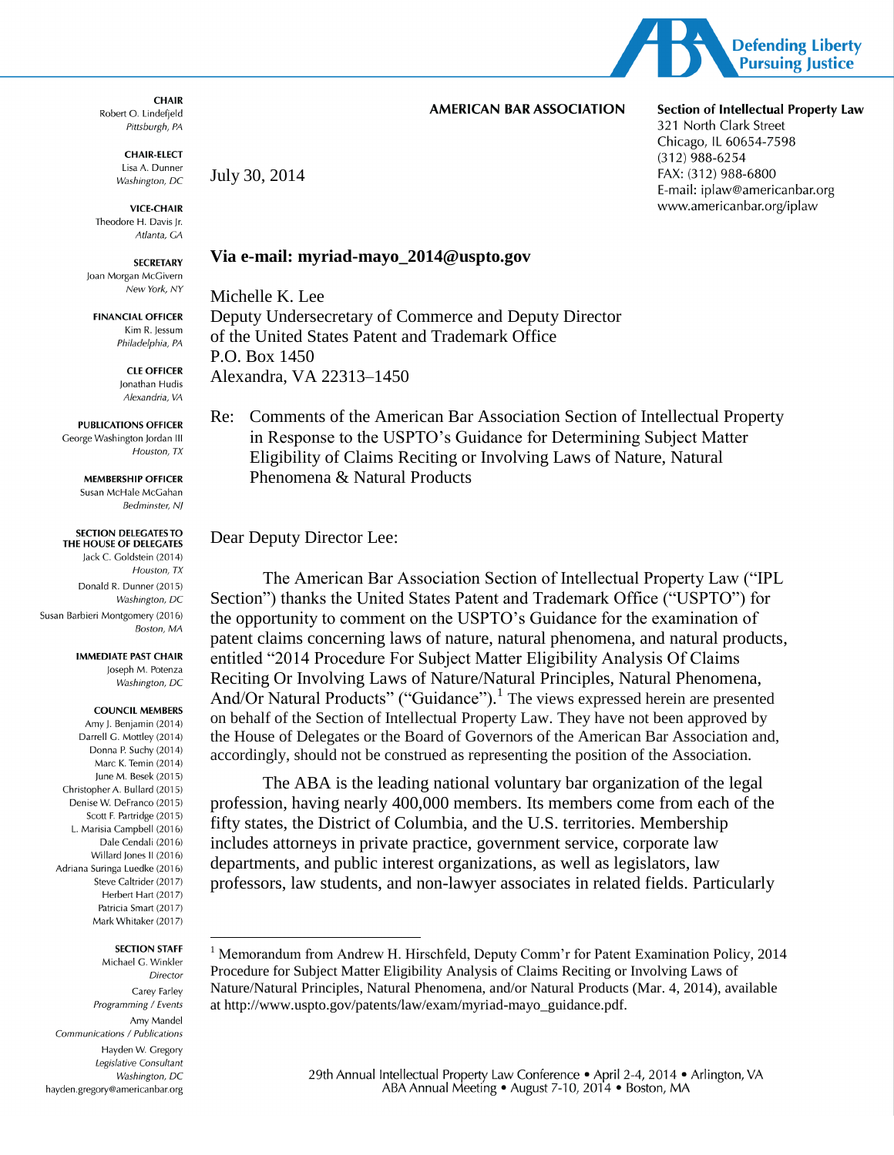

#### **AMERICAN BAR ASSOCIATION**

#### **CHAIR** Robert O. Lindefield Pittsburgh, PA

**CHAIR-ELECT** Lisa A. Dunner Washington, DC

**VICE-CHAIR** Theodore H. Davis Ir. Atlanta, GA

**SECRETARY** Joan Morgan McGivern New York, NY

**FINANCIAL OFFICER** Kim R. lessum Philadelphia, PA

> **CLE OFFICER** Ionathan Hudis Alexandria, VA

**PUBLICATIONS OFFICER** George Washington Jordan III Houston, TX

> **MEMBERSHIP OFFICER** Susan McHale McGahan Bedminster, NJ

#### **SECTION DELEGATES TO** THE HOUSE OF DELEGATES

Jack C. Goldstein (2014) Houston, TX Donald R. Dunner (2015) Washington, DC Susan Barbieri Montgomery (2016) Boston, MA

> **IMMEDIATE PAST CHAIR** Joseph M. Potenza Washington, DC

#### **COUNCIL MEMBERS**

Amy J. Benjamin (2014) Darrell G. Mottley (2014) Donna P. Suchy (2014) Marc K. Temin (2014) lune M. Besek (2015) Christopher A. Bullard (2015) Denise W. DeFranco (2015) Scott F. Partridge (2015) L. Marisia Campbell (2016) Dale Cendali (2016) Willard Jones II (2016) Adriana Suringa Luedke (2016) Steve Caltrider (2017) Herbert Hart (2017) Patricia Smart (2017) Mark Whitaker (2017)

#### **SECTION STAFF**

 $\overline{a}$ 

Michael G. Winkler Director Carey Farley Programming / Events Amy Mandel Communications / Publications Hayden W. Gregory Legislative Consultant Washington, DC hayden.gregory@americanbar.org July 30, 2014

#### **Via e-mail: myriad-mayo\_2014@uspto.gov**

Michelle K. Lee Deputy Undersecretary of Commerce and Deputy Director of the United States Patent and Trademark Office P.O. Box 1450 Alexandra, VA 22313–1450

Re: Comments of the American Bar Association Section of Intellectual Property in Response to the USPTO's Guidance for Determining Subject Matter Eligibility of Claims Reciting or Involving Laws of Nature, Natural Phenomena & Natural Products

#### Dear Deputy Director Lee:

The American Bar Association Section of Intellectual Property Law ("IPL Section") thanks the United States Patent and Trademark Office ("USPTO") for the opportunity to comment on the USPTO's Guidance for the examination of patent claims concerning laws of nature, natural phenomena, and natural products, entitled "2014 Procedure For Subject Matter Eligibility Analysis Of Claims Reciting Or Involving Laws of Nature/Natural Principles, Natural Phenomena, And/Or Natural Products" ("Guidance").<sup>1</sup> The views expressed herein are presented on behalf of the Section of Intellectual Property Law. They have not been approved by the House of Delegates or the Board of Governors of the American Bar Association and, accordingly, should not be construed as representing the position of the Association.

The ABA is the leading national voluntary bar organization of the legal profession, having nearly 400,000 members. Its members come from each of the fifty states, the District of Columbia, and the U.S. territories. Membership includes attorneys in private practice, government service, corporate law departments, and public interest organizations, as well as legislators, law professors, law students, and non-lawyer associates in related fields. Particularly

**Section of Intellectual Property Law** 321 North Clark Street Chicago, IL 60654-7598  $(312)$  988-6254 FAX: (312) 988-6800 E-mail: iplaw@americanbar.org www.americanbar.org/iplaw

<sup>&</sup>lt;sup>1</sup> Memorandum from Andrew H. Hirschfeld, Deputy Comm'r for Patent Examination Policy, 2014 Procedure for Subject Matter Eligibility Analysis of Claims Reciting or Involving Laws of Nature/Natural Principles, Natural Phenomena, and/or Natural Products (Mar. 4, 2014), available at http://www.uspto.gov/patents/law/exam/myriad-mayo\_guidance.pdf.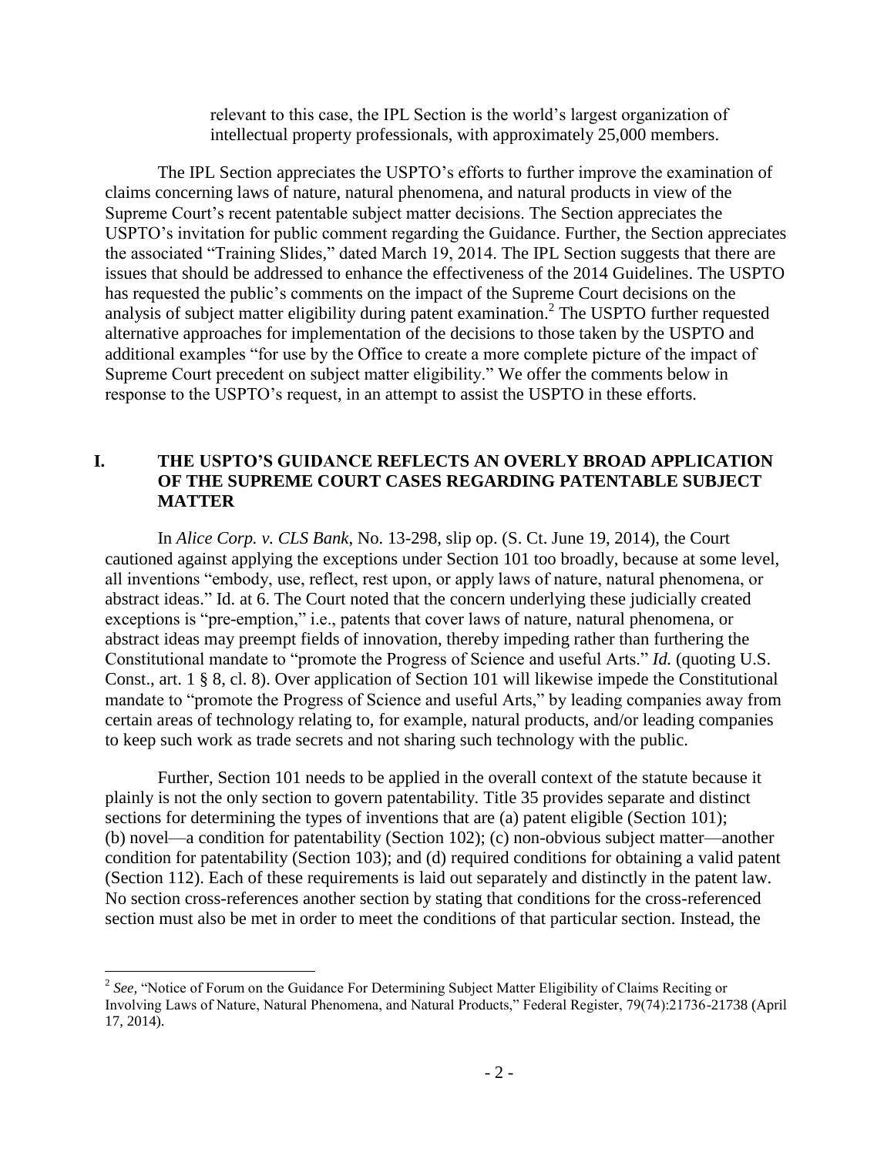relevant to this case, the IPL Section is the world's largest organization of intellectual property professionals, with approximately 25,000 members.

The IPL Section appreciates the USPTO's efforts to further improve the examination of claims concerning laws of nature, natural phenomena, and natural products in view of the Supreme Court's recent patentable subject matter decisions. The Section appreciates the USPTO's invitation for public comment regarding the Guidance. Further, the Section appreciates the associated "Training Slides," dated March 19, 2014. The IPL Section suggests that there are issues that should be addressed to enhance the effectiveness of the 2014 Guidelines. The USPTO has requested the public's comments on the impact of the Supreme Court decisions on the analysis of subject matter eligibility during patent examination.<sup>2</sup> The USPTO further requested alternative approaches for implementation of the decisions to those taken by the USPTO and additional examples "for use by the Office to create a more complete picture of the impact of Supreme Court precedent on subject matter eligibility." We offer the comments below in response to the USPTO's request, in an attempt to assist the USPTO in these efforts.

#### **I. THE USPTO'S GUIDANCE REFLECTS AN OVERLY BROAD APPLICATION OF THE SUPREME COURT CASES REGARDING PATENTABLE SUBJECT MATTER**

In *Alice Corp. v. CLS Bank*, No. 13-298, slip op. (S. Ct. June 19, 2014), the Court cautioned against applying the exceptions under Section 101 too broadly, because at some level, all inventions "embody, use, reflect, rest upon, or apply laws of nature, natural phenomena, or abstract ideas." Id. at 6. The Court noted that the concern underlying these judicially created exceptions is "pre-emption," i.e., patents that cover laws of nature, natural phenomena, or abstract ideas may preempt fields of innovation, thereby impeding rather than furthering the Constitutional mandate to "promote the Progress of Science and useful Arts." *Id.* (quoting U.S. Const., art. 1 § 8, cl. 8). Over application of Section 101 will likewise impede the Constitutional mandate to "promote the Progress of Science and useful Arts," by leading companies away from certain areas of technology relating to, for example, natural products, and/or leading companies to keep such work as trade secrets and not sharing such technology with the public.

Further, Section 101 needs to be applied in the overall context of the statute because it plainly is not the only section to govern patentability. Title 35 provides separate and distinct sections for determining the types of inventions that are (a) patent eligible (Section 101); (b) novel—a condition for patentability (Section 102); (c) non-obvious subject matter—another condition for patentability (Section 103); and (d) required conditions for obtaining a valid patent (Section 112). Each of these requirements is laid out separately and distinctly in the patent law. No section cross-references another section by stating that conditions for the cross-referenced section must also be met in order to meet the conditions of that particular section. Instead, the

<sup>&</sup>lt;sup>2</sup> See, "Notice of Forum on the Guidance For Determining Subject Matter Eligibility of Claims Reciting or Involving Laws of Nature, Natural Phenomena, and Natural Products," Federal Register, 79(74):21736-21738 (April 17, 2014).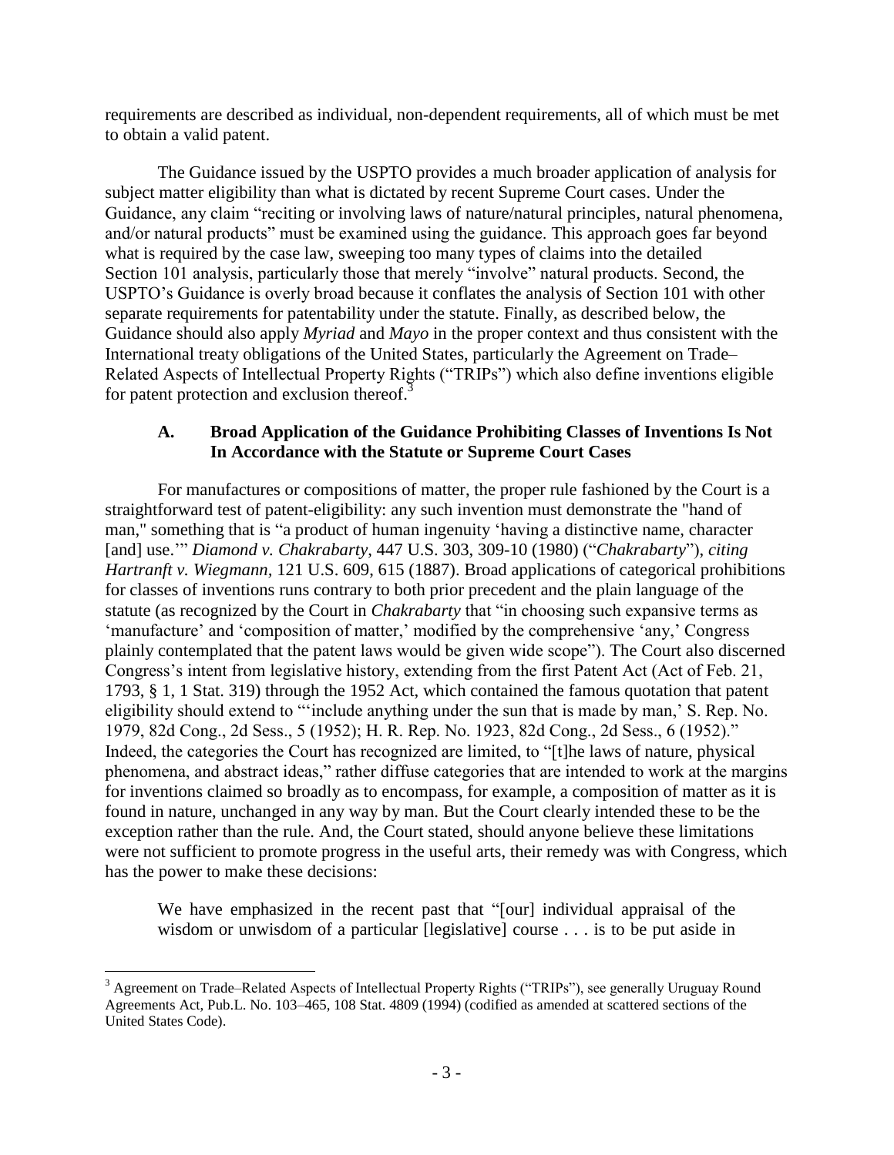requirements are described as individual, non-dependent requirements, all of which must be met to obtain a valid patent.

The Guidance issued by the USPTO provides a much broader application of analysis for subject matter eligibility than what is dictated by recent Supreme Court cases. Under the Guidance, any claim "reciting or involving laws of nature/natural principles, natural phenomena, and/or natural products" must be examined using the guidance. This approach goes far beyond what is required by the case law, sweeping too many types of claims into the detailed Section 101 analysis, particularly those that merely "involve" natural products. Second, the USPTO's Guidance is overly broad because it conflates the analysis of Section 101 with other separate requirements for patentability under the statute. Finally, as described below, the Guidance should also apply *Myriad* and *Mayo* in the proper context and thus consistent with the International treaty obligations of the United States, particularly the Agreement on Trade– Related Aspects of Intellectual Property Rights ("TRIPs") which also define inventions eligible for patent protection and exclusion thereof.<sup>3</sup>

# **A. Broad Application of the Guidance Prohibiting Classes of Inventions Is Not In Accordance with the Statute or Supreme Court Cases**

For manufactures or compositions of matter, the proper rule fashioned by the Court is a straightforward test of patent-eligibility: any such invention must demonstrate the "hand of man," something that is "a product of human ingenuity 'having a distinctive name, character [and] use.'" *Diamond v. Chakrabarty*, 447 U.S. 303, 309-10 (1980) ("*Chakrabarty*"), *citing Hartranft v. Wiegmann,* 121 U.S. 609, 615 (1887). Broad applications of categorical prohibitions for classes of inventions runs contrary to both prior precedent and the plain language of the statute (as recognized by the Court in *Chakrabarty* that "in choosing such expansive terms as 'manufacture' and 'composition of matter,' modified by the comprehensive 'any,' Congress plainly contemplated that the patent laws would be given wide scope"). The Court also discerned Congress's intent from legislative history, extending from the first Patent Act (Act of Feb. 21, 1793, § 1, 1 Stat. 319) through the 1952 Act, which contained the famous quotation that patent eligibility should extend to "'include anything under the sun that is made by man,' S. Rep. No. 1979, 82d Cong., 2d Sess., 5 (1952); H. R. Rep. No. 1923, 82d Cong., 2d Sess., 6 (1952)." Indeed, the categories the Court has recognized are limited, to "[t]he laws of nature, physical phenomena, and abstract ideas," rather diffuse categories that are intended to work at the margins for inventions claimed so broadly as to encompass, for example, a composition of matter as it is found in nature, unchanged in any way by man. But the Court clearly intended these to be the exception rather than the rule. And, the Court stated, should anyone believe these limitations were not sufficient to promote progress in the useful arts, their remedy was with Congress, which has the power to make these decisions:

We have emphasized in the recent past that "[our] individual appraisal of the wisdom or unwisdom of a particular [legislative] course . . . is to be put aside in

<sup>&</sup>lt;sup>3</sup> Agreement on Trade–Related Aspects of Intellectual Property Rights ("TRIPs"), see generally Uruguay Round Agreements Act, Pub.L. No. 103–465, 108 Stat. 4809 (1994) (codified as amended at scattered sections of the United States Code).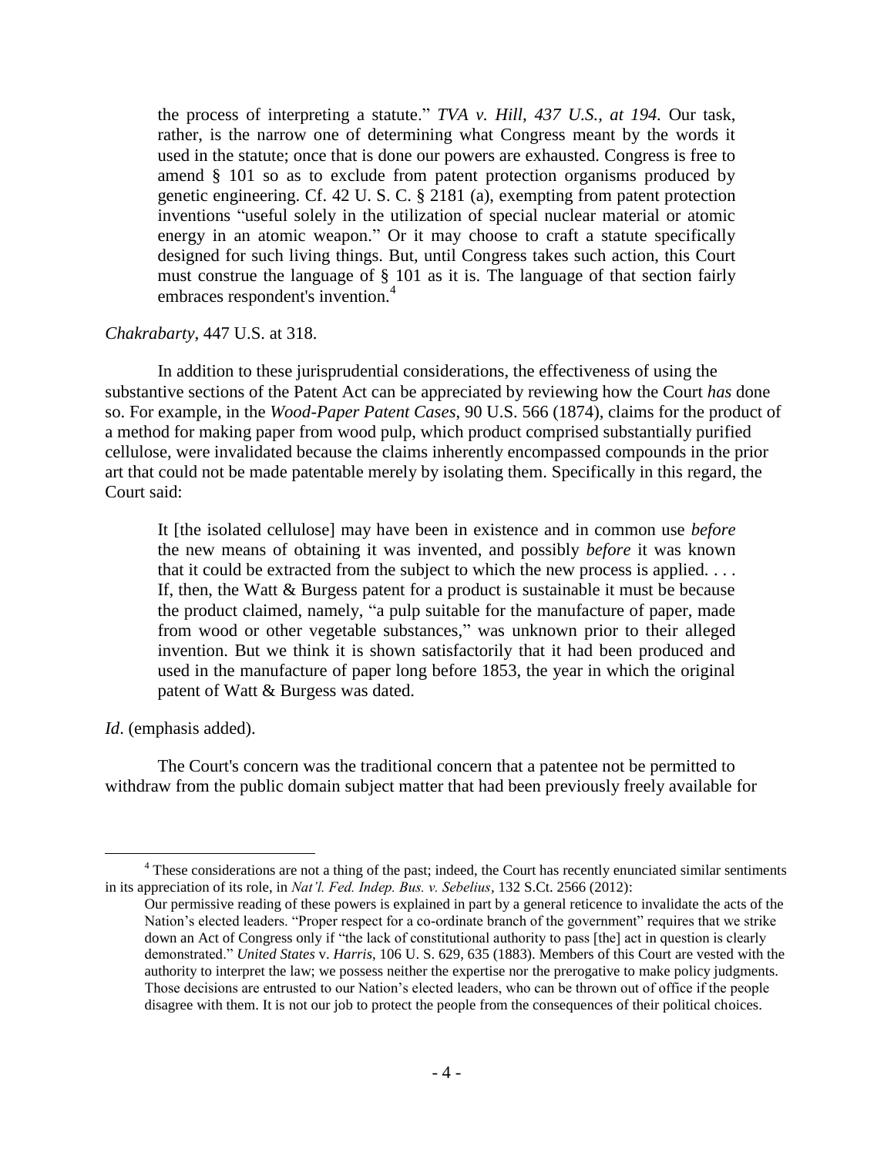the process of interpreting a statute." *TVA v. Hill, 437 U.S., at 194.* Our task, rather, is the narrow one of determining what Congress meant by the words it used in the statute; once that is done our powers are exhausted. Congress is free to amend § 101 so as to exclude from patent protection organisms produced by genetic engineering. Cf. 42 U. S. C. § 2181 (a), exempting from patent protection inventions "useful solely in the utilization of special nuclear material or atomic energy in an atomic weapon." Or it may choose to craft a statute specifically designed for such living things. But, until Congress takes such action, this Court must construe the language of § 101 as it is. The language of that section fairly embraces respondent's invention.<sup>4</sup>

#### *Chakrabarty*, 447 U.S. at 318.

In addition to these jurisprudential considerations, the effectiveness of using the substantive sections of the Patent Act can be appreciated by reviewing how the Court *has* done so. For example, in the *Wood-Paper Patent Cases*, 90 U.S. 566 (1874), claims for the product of a method for making paper from wood pulp, which product comprised substantially purified cellulose, were invalidated because the claims inherently encompassed compounds in the prior art that could not be made patentable merely by isolating them. Specifically in this regard, the Court said:

It [the isolated cellulose] may have been in existence and in common use *before* the new means of obtaining it was invented, and possibly *before* it was known that it could be extracted from the subject to which the new process is applied. . . . If, then, the Watt  $\&$  Burgess patent for a product is sustainable it must be because the product claimed, namely, "a pulp suitable for the manufacture of paper, made from wood or other vegetable substances," was unknown prior to their alleged invention. But we think it is shown satisfactorily that it had been produced and used in the manufacture of paper long before 1853, the year in which the original patent of Watt & Burgess was dated.

*Id*. (emphasis added).

 $\overline{a}$ 

The Court's concern was the traditional concern that a patentee not be permitted to withdraw from the public domain subject matter that had been previously freely available for

<sup>&</sup>lt;sup>4</sup> These considerations are not a thing of the past; indeed, the Court has recently enunciated similar sentiments in its appreciation of its role, in *Nat'l. Fed. Indep. Bus. v. Sebelius,* 132 S.Ct. 2566 (2012):

Our permissive reading of these powers is explained in part by a general reticence to invalidate the acts of the Nation's elected leaders. "Proper respect for a co-ordinate branch of the government" requires that we strike down an Act of Congress only if "the lack of constitutional authority to pass [the] act in question is clearly demonstrated." *United States* v. *Harris*, 106 U. S. 629, 635 (1883). Members of this Court are vested with the authority to interpret the law; we possess neither the expertise nor the prerogative to make policy judgments. Those decisions are entrusted to our Nation's elected leaders, who can be thrown out of office if the people disagree with them. It is not our job to protect the people from the consequences of their political choices.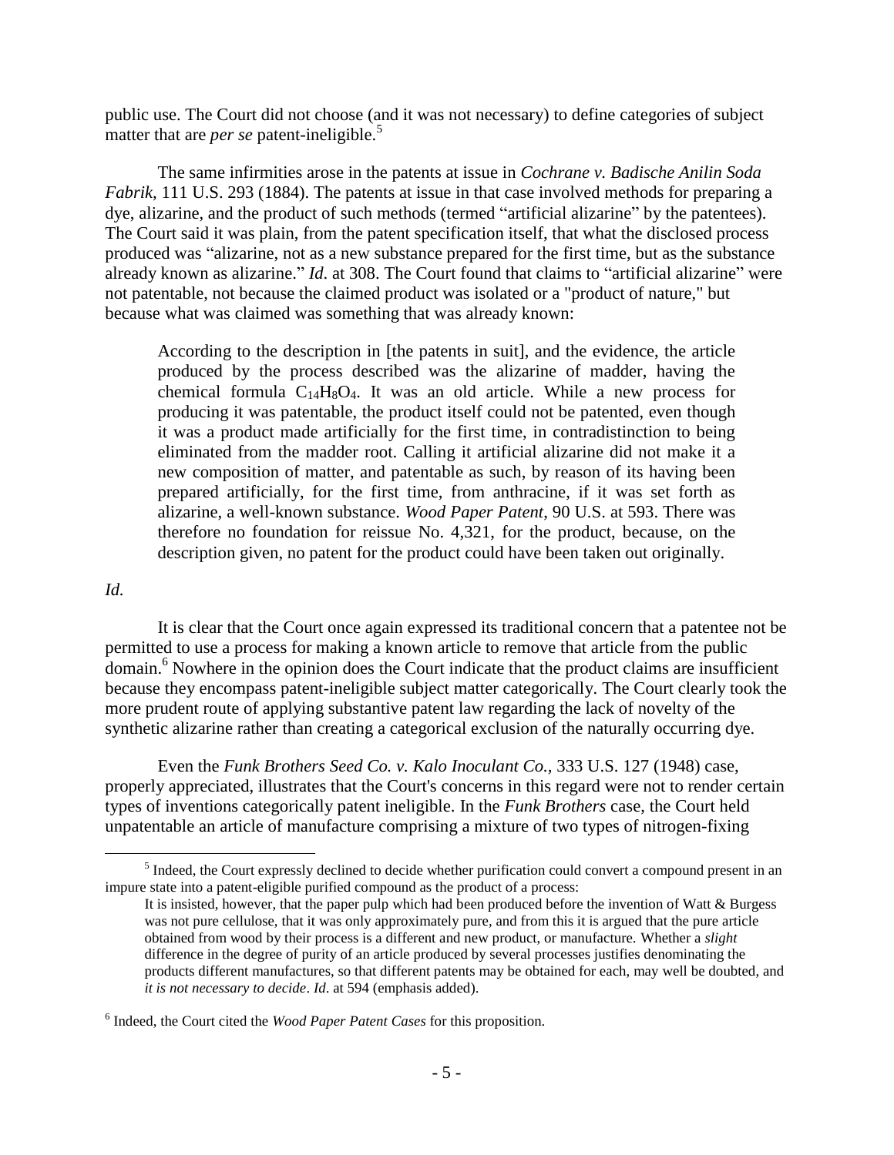public use. The Court did not choose (and it was not necessary) to define categories of subject matter that are *per se* patent-ineligible.<sup>5</sup>

The same infirmities arose in the patents at issue in *Cochrane v. Badische Anilin Soda Fabrik*, 111 U.S. 293 (1884). The patents at issue in that case involved methods for preparing a dye, alizarine, and the product of such methods (termed "artificial alizarine" by the patentees). The Court said it was plain, from the patent specification itself, that what the disclosed process produced was "alizarine, not as a new substance prepared for the first time, but as the substance already known as alizarine." *Id*. at 308. The Court found that claims to "artificial alizarine" were not patentable, not because the claimed product was isolated or a "product of nature," but because what was claimed was something that was already known:

According to the description in [the patents in suit], and the evidence, the article produced by the process described was the alizarine of madder, having the chemical formula  $C_{14}H_8O_4$ . It was an old article. While a new process for producing it was patentable, the product itself could not be patented, even though it was a product made artificially for the first time, in contradistinction to being eliminated from the madder root. Calling it artificial alizarine did not make it a new composition of matter, and patentable as such, by reason of its having been prepared artificially, for the first time, from anthracine, if it was set forth as alizarine, a well-known substance. *Wood Paper Patent*, 90 U.S. at 593. There was therefore no foundation for reissue No. 4,321, for the product, because, on the description given, no patent for the product could have been taken out originally.

#### *Id.*

 $\overline{a}$ 

It is clear that the Court once again expressed its traditional concern that a patentee not be permitted to use a process for making a known article to remove that article from the public domain.<sup>6</sup> Nowhere in the opinion does the Court indicate that the product claims are insufficient because they encompass patent-ineligible subject matter categorically. The Court clearly took the more prudent route of applying substantive patent law regarding the lack of novelty of the synthetic alizarine rather than creating a categorical exclusion of the naturally occurring dye.

Even the *Funk Brothers Seed Co. v. Kalo Inoculant Co.,* 333 U.S. 127 (1948) case, properly appreciated, illustrates that the Court's concerns in this regard were not to render certain types of inventions categorically patent ineligible. In the *Funk Brothers* case, the Court held unpatentable an article of manufacture comprising a mixture of two types of nitrogen-fixing

<sup>&</sup>lt;sup>5</sup> Indeed, the Court expressly declined to decide whether purification could convert a compound present in an impure state into a patent-eligible purified compound as the product of a process:

It is insisted, however, that the paper pulp which had been produced before the invention of Watt & Burgess was not pure cellulose, that it was only approximately pure, and from this it is argued that the pure article obtained from wood by their process is a different and new product, or manufacture. Whether a *slight* difference in the degree of purity of an article produced by several processes justifies denominating the products different manufactures, so that different patents may be obtained for each, may well be doubted, and *it is not necessary to decide*. *Id*. at 594 (emphasis added).

<sup>6</sup> Indeed, the Court cited the *Wood Paper Patent Cases* for this proposition.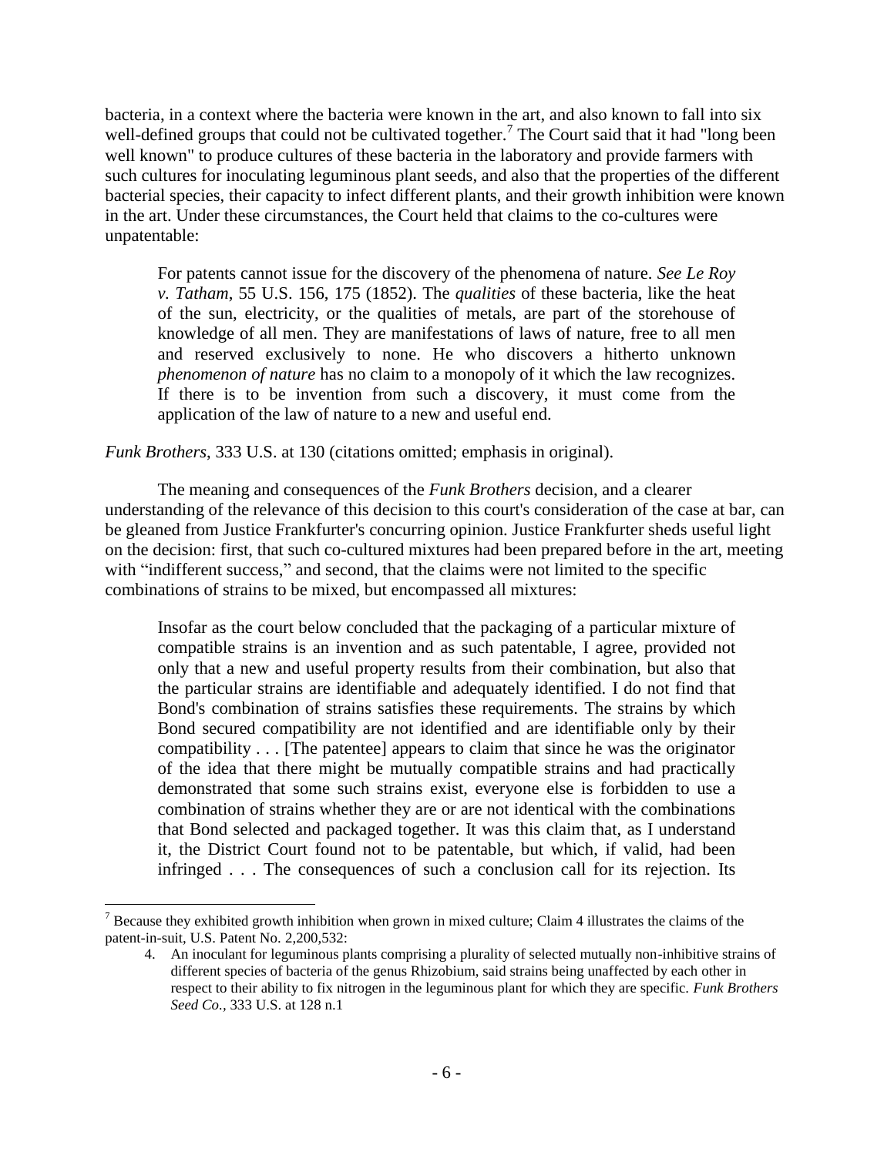bacteria, in a context where the bacteria were known in the art, and also known to fall into six well-defined groups that could not be cultivated together.<sup>7</sup> The Court said that it had "long been well known" to produce cultures of these bacteria in the laboratory and provide farmers with such cultures for inoculating leguminous plant seeds, and also that the properties of the different bacterial species, their capacity to infect different plants, and their growth inhibition were known in the art. Under these circumstances, the Court held that claims to the co-cultures were unpatentable:

For patents cannot issue for the discovery of the phenomena of nature. *See Le Roy v. Tatham*, 55 U.S. 156, 175 (1852). The *qualities* of these bacteria, like the heat of the sun, electricity, or the qualities of metals, are part of the storehouse of knowledge of all men. They are manifestations of laws of nature, free to all men and reserved exclusively to none. He who discovers a hitherto unknown *phenomenon of nature* has no claim to a monopoly of it which the law recognizes. If there is to be invention from such a discovery, it must come from the application of the law of nature to a new and useful end.

*Funk Brothers*, 333 U.S. at 130 (citations omitted; emphasis in original).

The meaning and consequences of the *Funk Brothers* decision, and a clearer understanding of the relevance of this decision to this court's consideration of the case at bar, can be gleaned from Justice Frankfurter's concurring opinion. Justice Frankfurter sheds useful light on the decision: first, that such co-cultured mixtures had been prepared before in the art, meeting with "indifferent success," and second, that the claims were not limited to the specific combinations of strains to be mixed, but encompassed all mixtures:

Insofar as the court below concluded that the packaging of a particular mixture of compatible strains is an invention and as such patentable, I agree, provided not only that a new and useful property results from their combination, but also that the particular strains are identifiable and adequately identified. I do not find that Bond's combination of strains satisfies these requirements. The strains by which Bond secured compatibility are not identified and are identifiable only by their compatibility . . . [The patentee] appears to claim that since he was the originator of the idea that there might be mutually compatible strains and had practically demonstrated that some such strains exist, everyone else is forbidden to use a combination of strains whether they are or are not identical with the combinations that Bond selected and packaged together. It was this claim that, as I understand it, the District Court found not to be patentable, but which, if valid, had been infringed . . . The consequences of such a conclusion call for its rejection. Its

<sup>&</sup>lt;sup>7</sup> Because they exhibited growth inhibition when grown in mixed culture; Claim 4 illustrates the claims of the patent-in-suit, U.S. Patent No. 2,200,532:

<sup>4.</sup> An inoculant for leguminous plants comprising a plurality of selected mutually non-inhibitive strains of different species of bacteria of the genus Rhizobium, said strains being unaffected by each other in respect to their ability to fix nitrogen in the leguminous plant for which they are specific. *Funk Brothers Seed Co.,* 333 U.S. at 128 n.1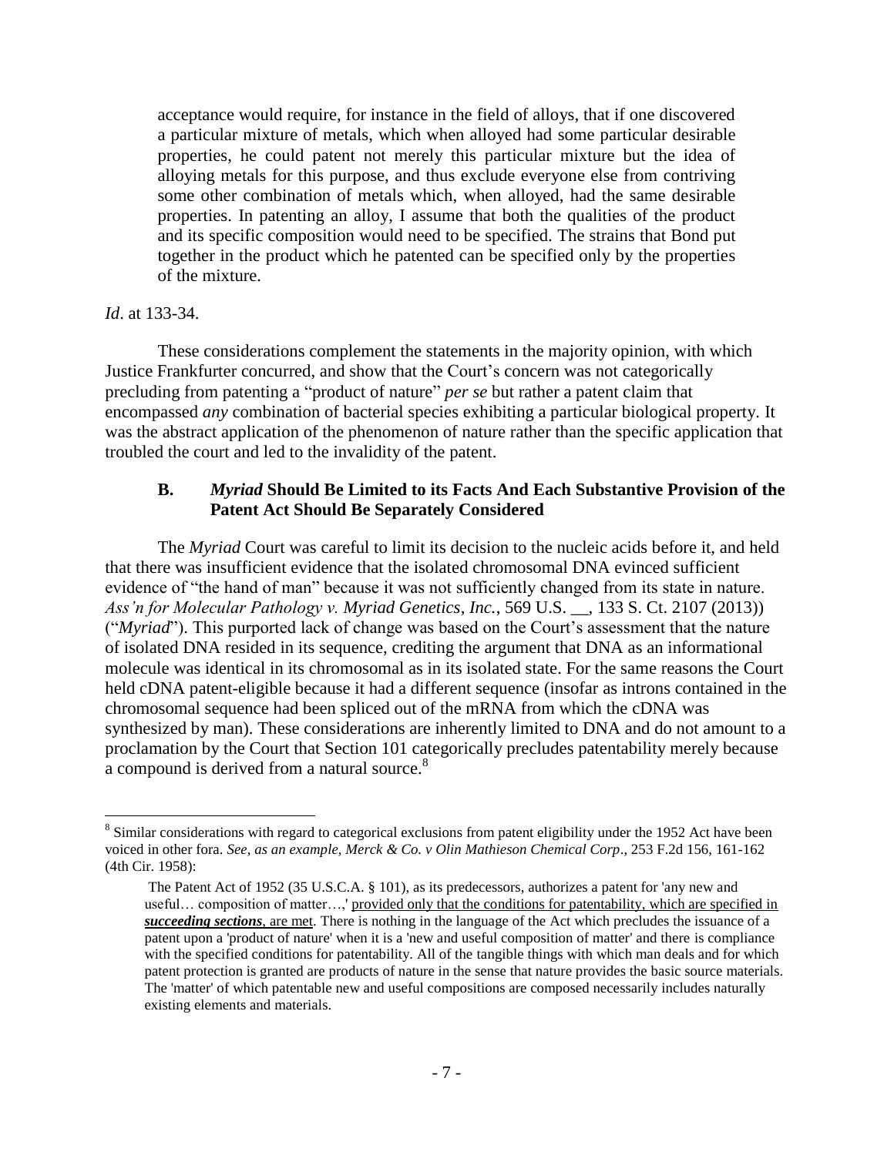acceptance would require, for instance in the field of alloys, that if one discovered a particular mixture of metals, which when alloyed had some particular desirable properties, he could patent not merely this particular mixture but the idea of alloying metals for this purpose, and thus exclude everyone else from contriving some other combination of metals which, when alloyed, had the same desirable properties. In patenting an alloy, I assume that both the qualities of the product and its specific composition would need to be specified. The strains that Bond put together in the product which he patented can be specified only by the properties of the mixture.

#### *Id*. at 133-34.

 $\overline{a}$ 

These considerations complement the statements in the majority opinion, with which Justice Frankfurter concurred, and show that the Court's concern was not categorically precluding from patenting a "product of nature" *per se* but rather a patent claim that encompassed *any* combination of bacterial species exhibiting a particular biological property. It was the abstract application of the phenomenon of nature rather than the specific application that troubled the court and led to the invalidity of the patent.

#### **B.** *Myriad* **Should Be Limited to its Facts And Each Substantive Provision of the Patent Act Should Be Separately Considered**

The *Myriad* Court was careful to limit its decision to the nucleic acids before it, and held that there was insufficient evidence that the isolated chromosomal DNA evinced sufficient evidence of "the hand of man" because it was not sufficiently changed from its state in nature. *Ass'n for Molecular Pathology v. Myriad Genetics, Inc.*, 569 U.S. \_\_, 133 S. Ct. 2107 (2013)) ("*Myriad*"). This purported lack of change was based on the Court's assessment that the nature of isolated DNA resided in its sequence, crediting the argument that DNA as an informational molecule was identical in its chromosomal as in its isolated state. For the same reasons the Court held cDNA patent-eligible because it had a different sequence (insofar as introns contained in the chromosomal sequence had been spliced out of the mRNA from which the cDNA was synthesized by man). These considerations are inherently limited to DNA and do not amount to a proclamation by the Court that Section 101 categorically precludes patentability merely because a compound is derived from a natural source.<sup>8</sup>

 $8$  Similar considerations with regard to categorical exclusions from patent eligibility under the 1952 Act have been voiced in other fora. *See, as an example, Merck & Co. v Olin Mathieson Chemical Corp*., 253 F.2d 156, 161-162 (4th Cir. 1958):

The Patent Act of 1952 (35 U.S.C.A. § 101), as its predecessors, authorizes a patent for 'any new and useful... composition of matter...,' provided only that the conditions for patentability, which are specified in *succeeding sections*, are met. There is nothing in the language of the Act which precludes the issuance of a patent upon a 'product of nature' when it is a 'new and useful composition of matter' and there is compliance with the specified conditions for patentability. All of the tangible things with which man deals and for which patent protection is granted are products of nature in the sense that nature provides the basic source materials. The 'matter' of which patentable new and useful compositions are composed necessarily includes naturally existing elements and materials.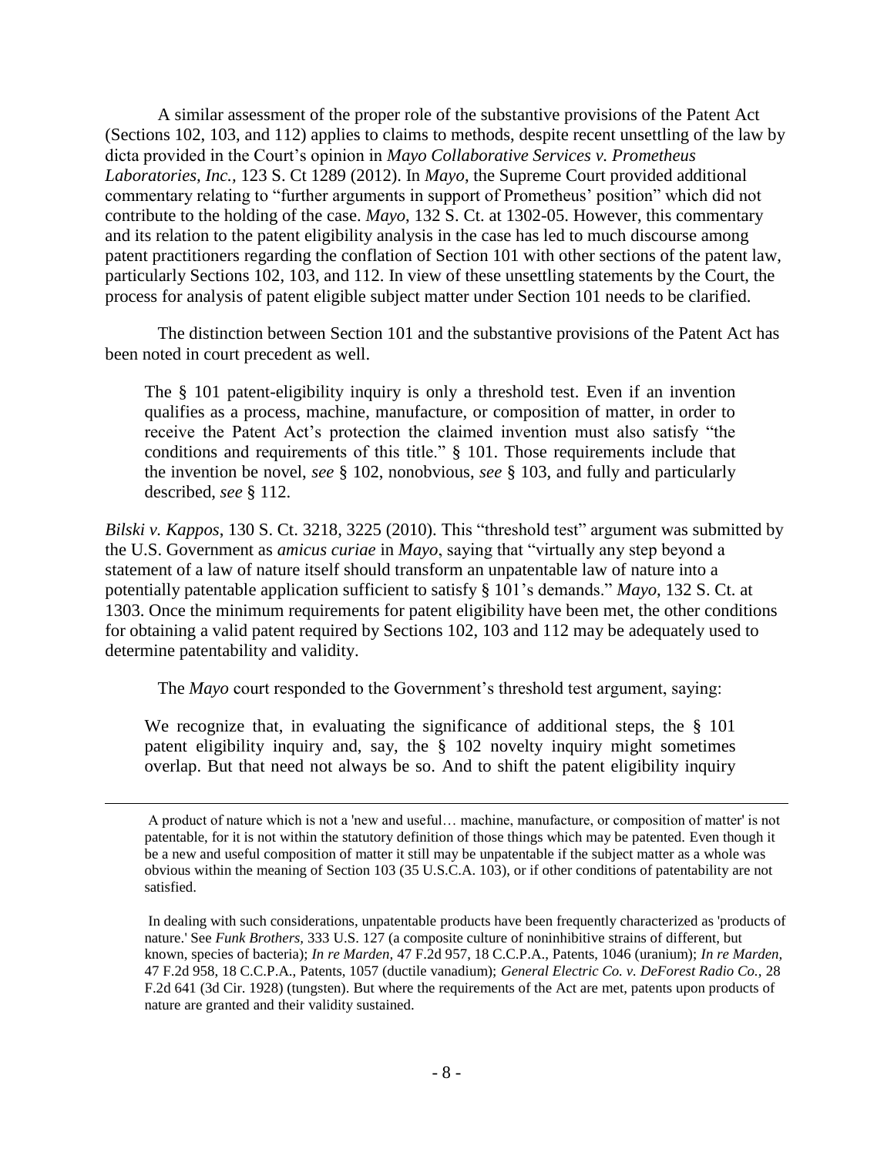A similar assessment of the proper role of the substantive provisions of the Patent Act (Sections 102, 103, and 112) applies to claims to methods, despite recent unsettling of the law by dicta provided in the Court's opinion in *Mayo Collaborative Services v. Prometheus Laboratories, Inc.,* 123 S. Ct 1289 (2012). In *Mayo*, the Supreme Court provided additional commentary relating to "further arguments in support of Prometheus' position" which did not contribute to the holding of the case. *Mayo*, 132 S. Ct. at 1302-05. However, this commentary and its relation to the patent eligibility analysis in the case has led to much discourse among patent practitioners regarding the conflation of Section 101 with other sections of the patent law, particularly Sections 102, 103, and 112. In view of these unsettling statements by the Court, the process for analysis of patent eligible subject matter under Section 101 needs to be clarified.

The distinction between Section 101 and the substantive provisions of the Patent Act has been noted in court precedent as well.

The § 101 patent-eligibility inquiry is only a threshold test. Even if an invention qualifies as a process, machine, manufacture, or composition of matter, in order to receive the Patent Act's protection the claimed invention must also satisfy "the conditions and requirements of this title." § 101. Those requirements include that the invention be novel, *see* § 102, nonobvious, *see* § 103, and fully and particularly described, *see* § 112.

*Bilski v. Kappos*, 130 S. Ct. 3218, 3225 (2010). This "threshold test" argument was submitted by the U.S. Government as *amicus curiae* in *Mayo*, saying that "virtually any step beyond a statement of a law of nature itself should transform an unpatentable law of nature into a potentially patentable application sufficient to satisfy § 101's demands." *Mayo*, 132 S. Ct. at 1303. Once the minimum requirements for patent eligibility have been met, the other conditions for obtaining a valid patent required by Sections 102, 103 and 112 may be adequately used to determine patentability and validity.

The *Mayo* court responded to the Government's threshold test argument, saying:

We recognize that, in evaluating the significance of additional steps, the  $\S$  101 patent eligibility inquiry and, say, the § 102 novelty inquiry might sometimes overlap. But that need not always be so. And to shift the patent eligibility inquiry

A product of nature which is not a 'new and useful… machine, manufacture, or composition of matter' is not patentable, for it is not within the statutory definition of those things which may be patented. Even though it be a new and useful composition of matter it still may be unpatentable if the subject matter as a whole was obvious within the meaning of Section 103 (35 U.S.C.A. 103), or if other conditions of patentability are not satisfied.

In dealing with such considerations, unpatentable products have been frequently characterized as 'products of nature.' See *Funk Brothers,* 333 U.S. 127 (a composite culture of noninhibitive strains of different, but known, species of bacteria); *In re Marden,* 47 F.2d 957, 18 C.C.P.A., Patents, 1046 (uranium); *In re Marden,*  47 F.2d 958, 18 C.C.P.A., Patents, 1057 (ductile vanadium); *General Electric Co. v. DeForest Radio Co.,* 28 F.2d 641 (3d Cir. 1928) (tungsten). But where the requirements of the Act are met, patents upon products of nature are granted and their validity sustained.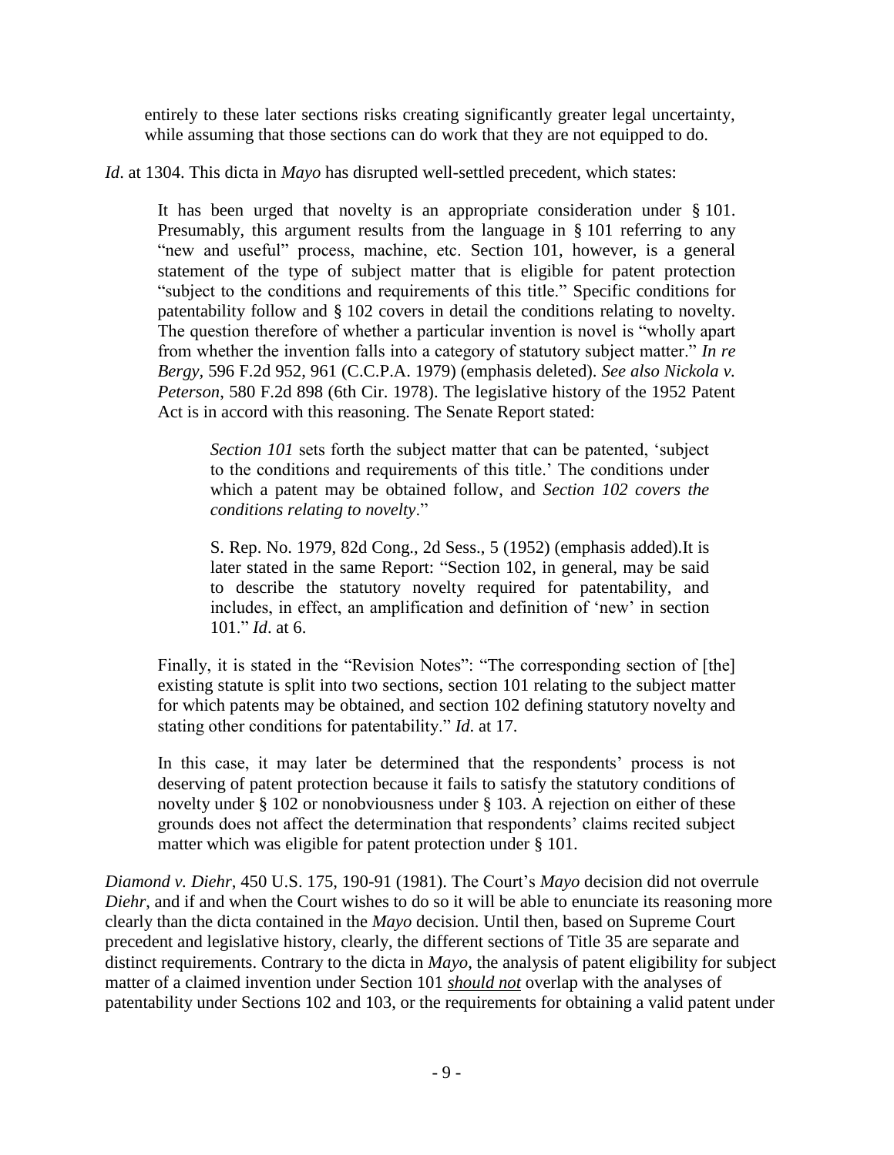entirely to these later sections risks creating significantly greater legal uncertainty, while assuming that those sections can do work that they are not equipped to do.

*Id*. at 1304. This dicta in *Mayo* has disrupted well-settled precedent, which states:

It has been urged that novelty is an appropriate consideration under § 101. Presumably, this argument results from the language in § 101 referring to any "new and useful" process, machine, etc. Section 101, however, is a general statement of the type of subject matter that is eligible for patent protection "subject to the conditions and requirements of this title." Specific conditions for patentability follow and § 102 covers in detail the conditions relating to novelty. The question therefore of whether a particular invention is novel is "wholly apart from whether the invention falls into a category of statutory subject matter." *In re Bergy,* 596 F.2d 952, 961 (C.C.P.A. 1979) (emphasis deleted). *See also Nickola v. Peterson*, 580 F.2d 898 (6th Cir. 1978). The legislative history of the 1952 Patent Act is in accord with this reasoning. The Senate Report stated:

*Section 101* sets forth the subject matter that can be patented, 'subject to the conditions and requirements of this title.' The conditions under which a patent may be obtained follow, and *Section 102 covers the conditions relating to novelty*."

S. Rep. No. 1979, 82d Cong., 2d Sess., 5 (1952) (emphasis added).It is later stated in the same Report: "Section 102, in general, may be said to describe the statutory novelty required for patentability, and includes, in effect, an amplification and definition of 'new' in section 101." *Id*. at 6.

Finally, it is stated in the "Revision Notes": "The corresponding section of [the] existing statute is split into two sections, section 101 relating to the subject matter for which patents may be obtained, and section 102 defining statutory novelty and stating other conditions for patentability." *Id*. at 17.

In this case, it may later be determined that the respondents' process is not deserving of patent protection because it fails to satisfy the statutory conditions of novelty under § 102 or nonobviousness under § 103. A rejection on either of these grounds does not affect the determination that respondents' claims recited subject matter which was eligible for patent protection under § 101.

*Diamond v. Diehr*, 450 U.S. 175, 190-91 (1981). The Court's *Mayo* decision did not overrule *Diehr*, and if and when the Court wishes to do so it will be able to enunciate its reasoning more clearly than the dicta contained in the *Mayo* decision. Until then, based on Supreme Court precedent and legislative history, clearly, the different sections of Title 35 are separate and distinct requirements. Contrary to the dicta in *Mayo*, the analysis of patent eligibility for subject matter of a claimed invention under Section 101 *should not* overlap with the analyses of patentability under Sections 102 and 103, or the requirements for obtaining a valid patent under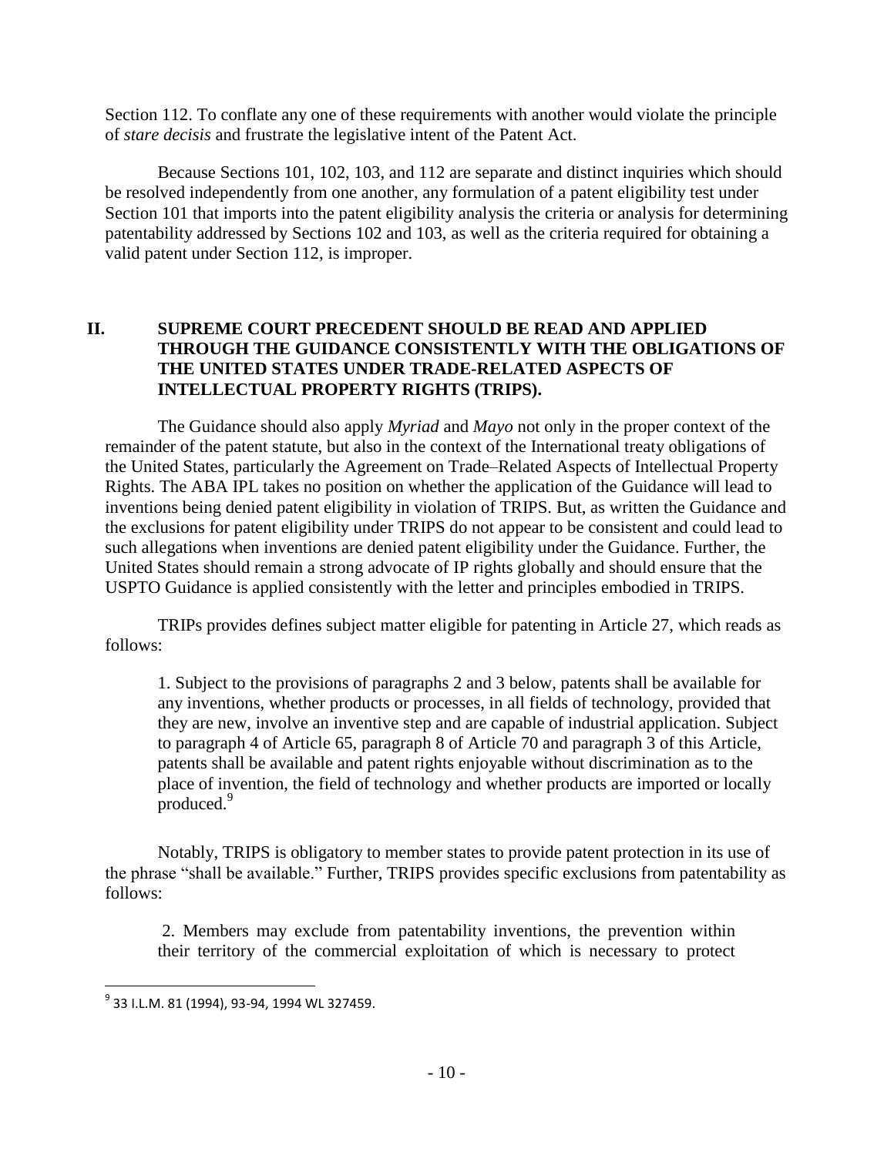Section 112. To conflate any one of these requirements with another would violate the principle of *stare decisis* and frustrate the legislative intent of the Patent Act.

Because Sections 101, 102, 103, and 112 are separate and distinct inquiries which should be resolved independently from one another, any formulation of a patent eligibility test under Section 101 that imports into the patent eligibility analysis the criteria or analysis for determining patentability addressed by Sections 102 and 103, as well as the criteria required for obtaining a valid patent under Section 112, is improper.

# **II. SUPREME COURT PRECEDENT SHOULD BE READ AND APPLIED THROUGH THE GUIDANCE CONSISTENTLY WITH THE OBLIGATIONS OF THE UNITED STATES UNDER TRADE-RELATED ASPECTS OF INTELLECTUAL PROPERTY RIGHTS (TRIPS).**

The Guidance should also apply *Myriad* and *Mayo* not only in the proper context of the remainder of the patent statute, but also in the context of the International treaty obligations of the United States, particularly the Agreement on Trade–Related Aspects of Intellectual Property Rights. The ABA IPL takes no position on whether the application of the Guidance will lead to inventions being denied patent eligibility in violation of TRIPS. But, as written the Guidance and the exclusions for patent eligibility under TRIPS do not appear to be consistent and could lead to such allegations when inventions are denied patent eligibility under the Guidance. Further, the United States should remain a strong advocate of IP rights globally and should ensure that the USPTO Guidance is applied consistently with the letter and principles embodied in TRIPS.

TRIPs provides defines subject matter eligible for patenting in Article 27, which reads as follows:

1. Subject to the provisions of paragraphs 2 and 3 below, patents shall be available for any inventions, whether products or processes, in all fields of technology, provided that they are new, involve an inventive step and are capable of industrial application. Subject to paragraph 4 of Article 65, paragraph 8 of Article 70 and paragraph 3 of this Article, patents shall be available and patent rights enjoyable without discrimination as to the place of invention, the field of technology and whether products are imported or locally produced.<sup>9</sup>

Notably, TRIPS is obligatory to member states to provide patent protection in its use of the phrase "shall be available." Further, TRIPS provides specific exclusions from patentability as follows:

2. Members may exclude from patentability inventions, the prevention within their territory of the commercial exploitation of which is necessary to protect

<sup>&</sup>lt;sup>9</sup> 33 I.L.M. 81 (1994), 93-94, 1994 WL 327459.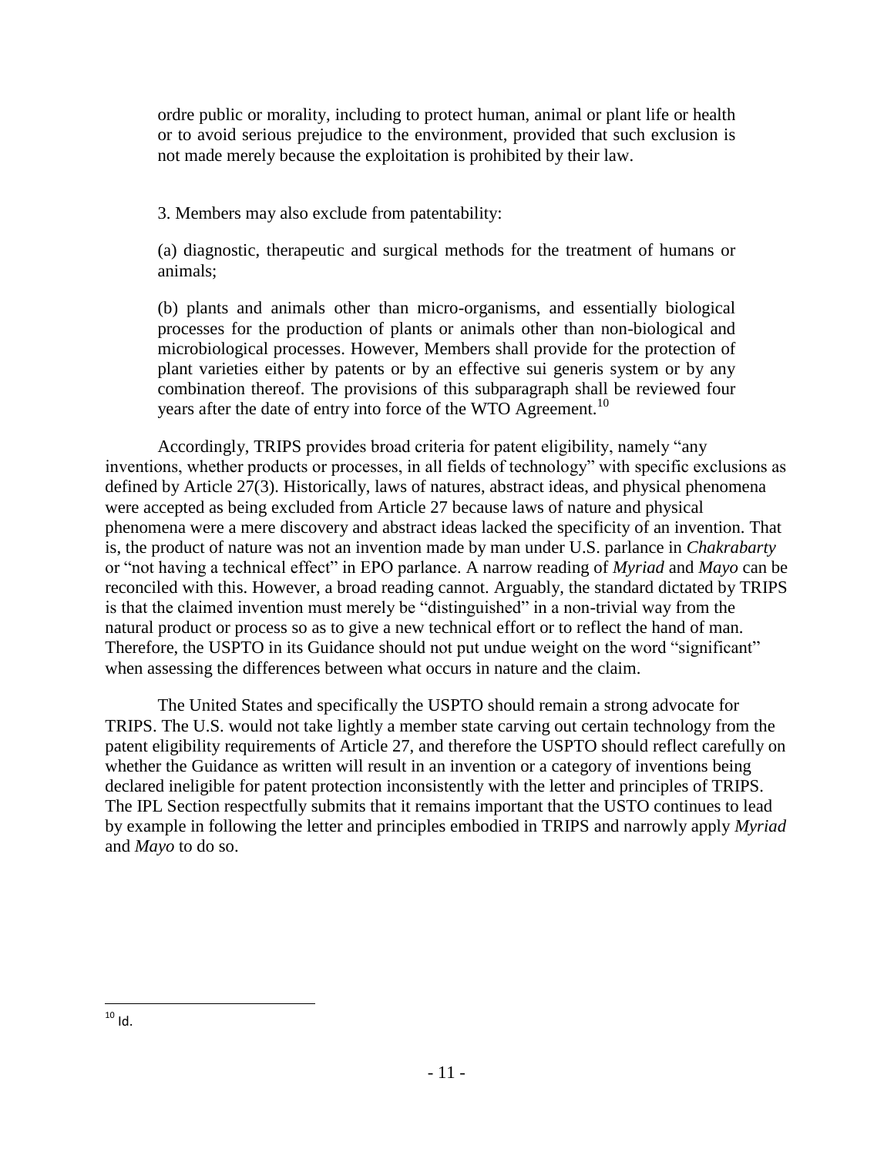ordre public or morality, including to protect human, animal or plant life or health or to avoid serious prejudice to the environment, provided that such exclusion is not made merely because the exploitation is prohibited by their law.

3. Members may also exclude from patentability:

(a) diagnostic, therapeutic and surgical methods for the treatment of humans or animals;

(b) plants and animals other than micro-organisms, and essentially biological processes for the production of plants or animals other than non-biological and microbiological processes. However, Members shall provide for the protection of plant varieties either by patents or by an effective sui generis system or by any combination thereof. The provisions of this subparagraph shall be reviewed four years after the date of entry into force of the WTO Agreement.<sup>10</sup>

Accordingly, TRIPS provides broad criteria for patent eligibility, namely "any inventions, whether products or processes, in all fields of technology" with specific exclusions as defined by Article 27(3). Historically, laws of natures, abstract ideas, and physical phenomena were accepted as being excluded from Article 27 because laws of nature and physical phenomena were a mere discovery and abstract ideas lacked the specificity of an invention. That is, the product of nature was not an invention made by man under U.S. parlance in *Chakrabarty* or "not having a technical effect" in EPO parlance. A narrow reading of *Myriad* and *Mayo* can be reconciled with this. However, a broad reading cannot. Arguably, the standard dictated by TRIPS is that the claimed invention must merely be "distinguished" in a non-trivial way from the natural product or process so as to give a new technical effort or to reflect the hand of man. Therefore, the USPTO in its Guidance should not put undue weight on the word "significant" when assessing the differences between what occurs in nature and the claim.

The United States and specifically the USPTO should remain a strong advocate for TRIPS. The U.S. would not take lightly a member state carving out certain technology from the patent eligibility requirements of Article 27, and therefore the USPTO should reflect carefully on whether the Guidance as written will result in an invention or a category of inventions being declared ineligible for patent protection inconsistently with the letter and principles of TRIPS. The IPL Section respectfully submits that it remains important that the USTO continues to lead by example in following the letter and principles embodied in TRIPS and narrowly apply *Myriad* and *Mayo* to do so.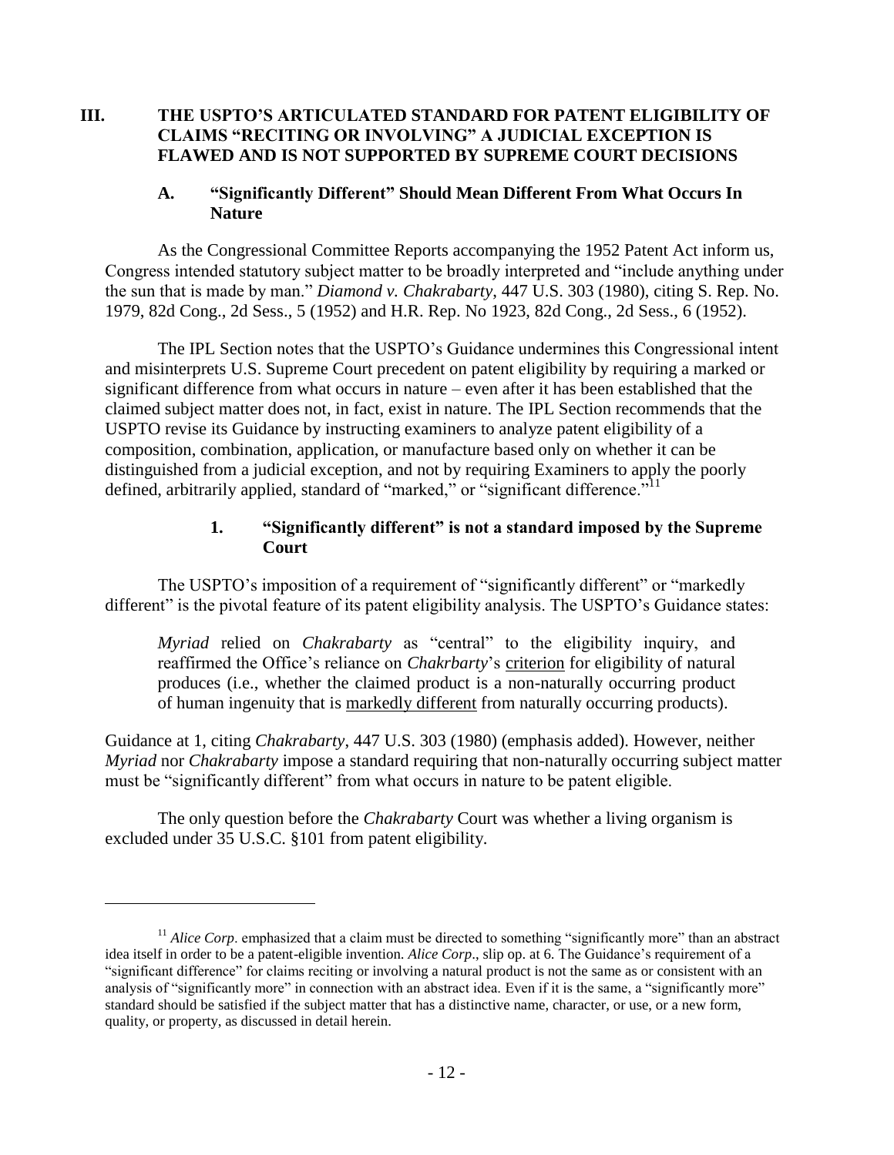# **III. THE USPTO'S ARTICULATED STANDARD FOR PATENT ELIGIBILITY OF CLAIMS "RECITING OR INVOLVING" A JUDICIAL EXCEPTION IS FLAWED AND IS NOT SUPPORTED BY SUPREME COURT DECISIONS**

#### **A. "Significantly Different" Should Mean Different From What Occurs In Nature**

As the Congressional Committee Reports accompanying the 1952 Patent Act inform us, Congress intended statutory subject matter to be broadly interpreted and "include anything under the sun that is made by man." *Diamond v. Chakrabarty*, 447 U.S. 303 (1980), citing S. Rep. No. 1979, 82d Cong., 2d Sess., 5 (1952) and H.R. Rep. No 1923, 82d Cong., 2d Sess., 6 (1952).

The IPL Section notes that the USPTO's Guidance undermines this Congressional intent and misinterprets U.S. Supreme Court precedent on patent eligibility by requiring a marked or significant difference from what occurs in nature – even after it has been established that the claimed subject matter does not, in fact, exist in nature. The IPL Section recommends that the USPTO revise its Guidance by instructing examiners to analyze patent eligibility of a composition, combination, application, or manufacture based only on whether it can be distinguished from a judicial exception, and not by requiring Examiners to apply the poorly defined, arbitrarily applied, standard of "marked," or "significant difference."<sup>11</sup>

#### **1. "Significantly different" is not a standard imposed by the Supreme Court**

The USPTO's imposition of a requirement of "significantly different" or "markedly different" is the pivotal feature of its patent eligibility analysis. The USPTO's Guidance states:

*Myriad* relied on *Chakrabarty* as "central" to the eligibility inquiry, and reaffirmed the Office's reliance on *Chakrbarty*'s criterion for eligibility of natural produces (i.e., whether the claimed product is a non-naturally occurring product of human ingenuity that is markedly different from naturally occurring products).

Guidance at 1, citing *Chakrabarty*, 447 U.S. 303 (1980) (emphasis added). However, neither *Myriad* nor *Chakrabarty* impose a standard requiring that non-naturally occurring subject matter must be "significantly different" from what occurs in nature to be patent eligible.

The only question before the *Chakrabarty* Court was whether a living organism is excluded under 35 U.S.C. §101 from patent eligibility.

<sup>&</sup>lt;sup>11</sup> *Alice Corp*. emphasized that a claim must be directed to something "significantly more" than an abstract idea itself in order to be a patent-eligible invention. *Alice Corp*., slip op. at 6. The Guidance's requirement of a "significant difference" for claims reciting or involving a natural product is not the same as or consistent with an analysis of "significantly more" in connection with an abstract idea. Even if it is the same, a "significantly more" standard should be satisfied if the subject matter that has a distinctive name, character, or use, or a new form, quality, or property, as discussed in detail herein.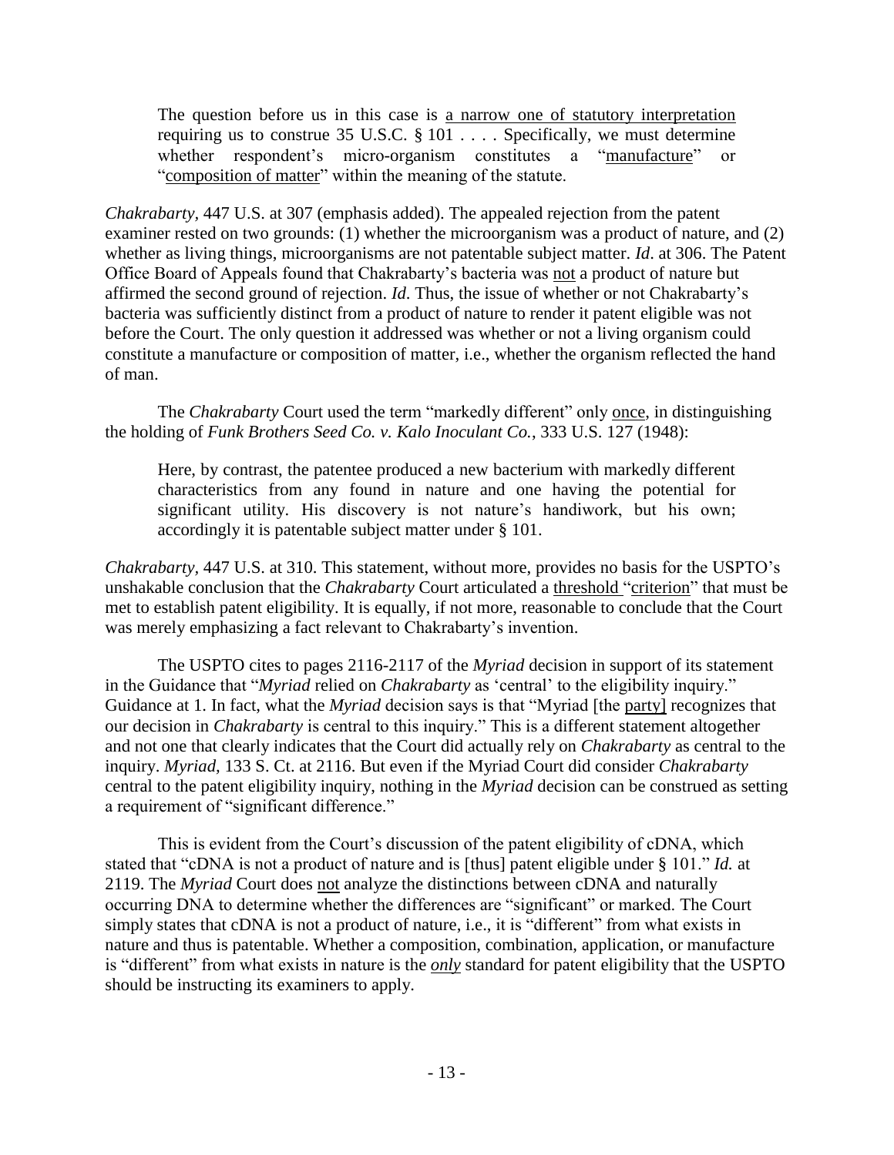The question before us in this case is a narrow one of statutory interpretation requiring us to construe 35 U.S.C.  $\S 101$  .... Specifically, we must determine whether respondent's micro-organism constitutes a "manufacture" or "composition of matter" within the meaning of the statute.

*Chakrabarty,* 447 U.S. at 307 (emphasis added). The appealed rejection from the patent examiner rested on two grounds: (1) whether the microorganism was a product of nature, and (2) whether as living things, microorganisms are not patentable subject matter. *Id*. at 306. The Patent Office Board of Appeals found that Chakrabarty's bacteria was not a product of nature but affirmed the second ground of rejection. *Id*. Thus, the issue of whether or not Chakrabarty's bacteria was sufficiently distinct from a product of nature to render it patent eligible was not before the Court. The only question it addressed was whether or not a living organism could constitute a manufacture or composition of matter, i.e., whether the organism reflected the hand of man.

The *Chakrabarty* Court used the term "markedly different" only once, in distinguishing the holding of *Funk Brothers Seed Co. v. Kalo Inoculant Co.*, 333 U.S. 127 (1948):

Here, by contrast, the patentee produced a new bacterium with markedly different characteristics from any found in nature and one having the potential for significant utility. His discovery is not nature's handiwork, but his own; accordingly it is patentable subject matter under § 101.

*Chakrabarty,* 447 U.S. at 310. This statement, without more, provides no basis for the USPTO's unshakable conclusion that the *Chakrabarty* Court articulated a threshold "criterion" that must be met to establish patent eligibility. It is equally, if not more, reasonable to conclude that the Court was merely emphasizing a fact relevant to Chakrabarty's invention.

The USPTO cites to pages 2116-2117 of the *Myriad* decision in support of its statement in the Guidance that "*Myriad* relied on *Chakrabarty* as 'central' to the eligibility inquiry." Guidance at 1. In fact, what the *Myriad* decision says is that "Myriad [the party] recognizes that our decision in *Chakrabarty* is central to this inquiry." This is a different statement altogether and not one that clearly indicates that the Court did actually rely on *Chakrabarty* as central to the inquiry. *Myriad,* 133 S. Ct. at 2116. But even if the Myriad Court did consider *Chakrabarty*  central to the patent eligibility inquiry, nothing in the *Myriad* decision can be construed as setting a requirement of "significant difference."

This is evident from the Court's discussion of the patent eligibility of cDNA, which stated that "cDNA is not a product of nature and is [thus] patent eligible under § 101." *Id.* at 2119. The *Myriad* Court does not analyze the distinctions between cDNA and naturally occurring DNA to determine whether the differences are "significant" or marked. The Court simply states that cDNA is not a product of nature, i.e., it is "different" from what exists in nature and thus is patentable. Whether a composition, combination, application, or manufacture is "different" from what exists in nature is the *only* standard for patent eligibility that the USPTO should be instructing its examiners to apply.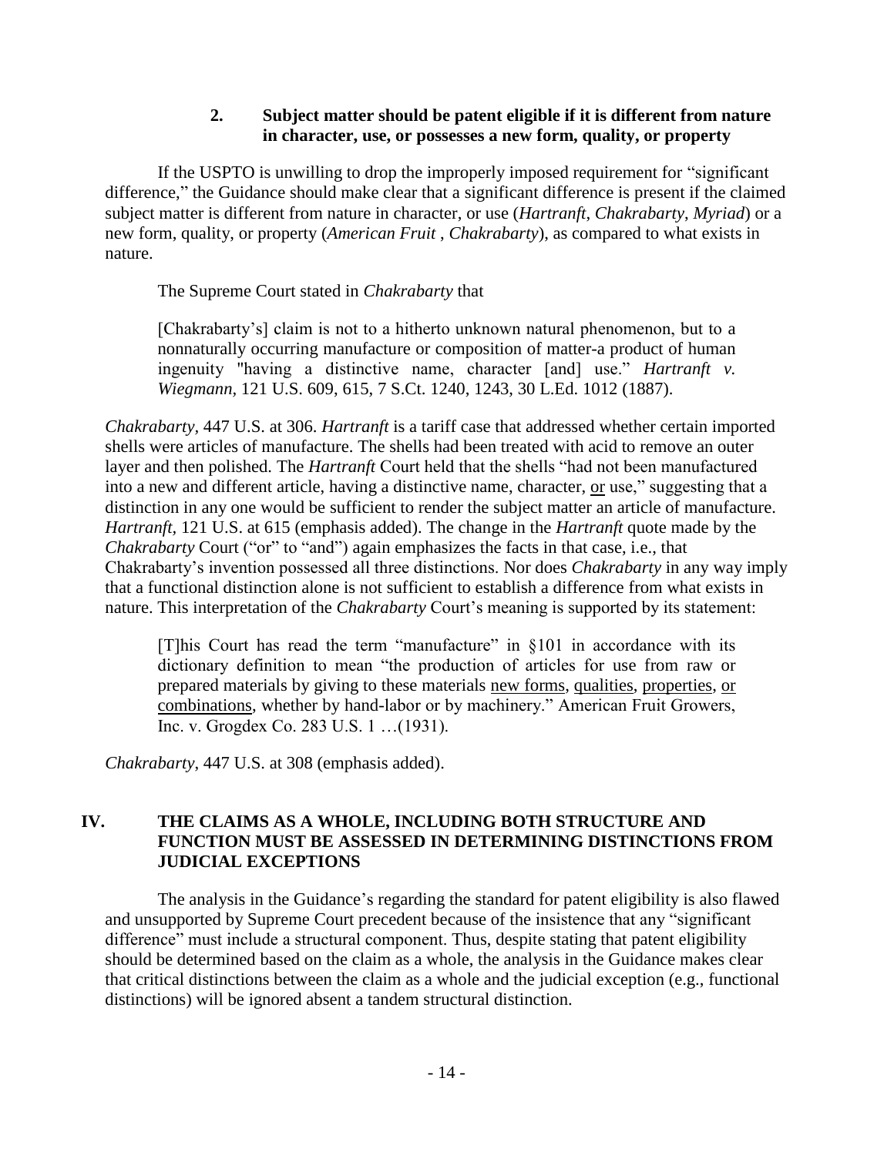# **2. Subject matter should be patent eligible if it is different from nature in character, use, or possesses a new form, quality, or property**

If the USPTO is unwilling to drop the improperly imposed requirement for "significant difference," the Guidance should make clear that a significant difference is present if the claimed subject matter is different from nature in character, or use (*Hartranft*, *Chakrabarty*, *Myriad*) or a new form, quality, or property (*American Fruit* , *Chakrabarty*), as compared to what exists in nature.

The Supreme Court stated in *Chakrabarty* that

[Chakrabarty's] claim is not to a hitherto unknown natural phenomenon, but to a nonnaturally occurring manufacture or composition of matter-a product of human ingenuity "having a distinctive name, character [and] use." *Hartranft v. Wiegmann,* 121 U.S. 609, 615, 7 S.Ct. 1240, 1243, 30 L.Ed. 1012 (1887).

*Chakrabarty,* 447 U.S. at 306. *Hartranft* is a tariff case that addressed whether certain imported shells were articles of manufacture. The shells had been treated with acid to remove an outer layer and then polished. The *Hartranft* Court held that the shells "had not been manufactured into a new and different article, having a distinctive name, character, or use," suggesting that a distinction in any one would be sufficient to render the subject matter an article of manufacture. *Hartranft,* 121 U.S. at 615 (emphasis added). The change in the *Hartranft* quote made by the *Chakrabarty Court ("or" to "and") again emphasizes the facts in that case, i.e., that* Chakrabarty's invention possessed all three distinctions. Nor does *Chakrabarty* in any way imply that a functional distinction alone is not sufficient to establish a difference from what exists in nature. This interpretation of the *Chakrabarty* Court's meaning is supported by its statement:

[T]his Court has read the term "manufacture" in §101 in accordance with its dictionary definition to mean "the production of articles for use from raw or prepared materials by giving to these materials new forms, qualities, properties, or combinations, whether by hand-labor or by machinery." American Fruit Growers, Inc. v. Grogdex Co. 283 U.S. 1 …(1931).

*Chakrabarty*, 447 U.S. at 308 (emphasis added).

# **IV. THE CLAIMS AS A WHOLE, INCLUDING BOTH STRUCTURE AND FUNCTION MUST BE ASSESSED IN DETERMINING DISTINCTIONS FROM JUDICIAL EXCEPTIONS**

The analysis in the Guidance's regarding the standard for patent eligibility is also flawed and unsupported by Supreme Court precedent because of the insistence that any "significant difference" must include a structural component. Thus, despite stating that patent eligibility should be determined based on the claim as a whole, the analysis in the Guidance makes clear that critical distinctions between the claim as a whole and the judicial exception (e.g., functional distinctions) will be ignored absent a tandem structural distinction.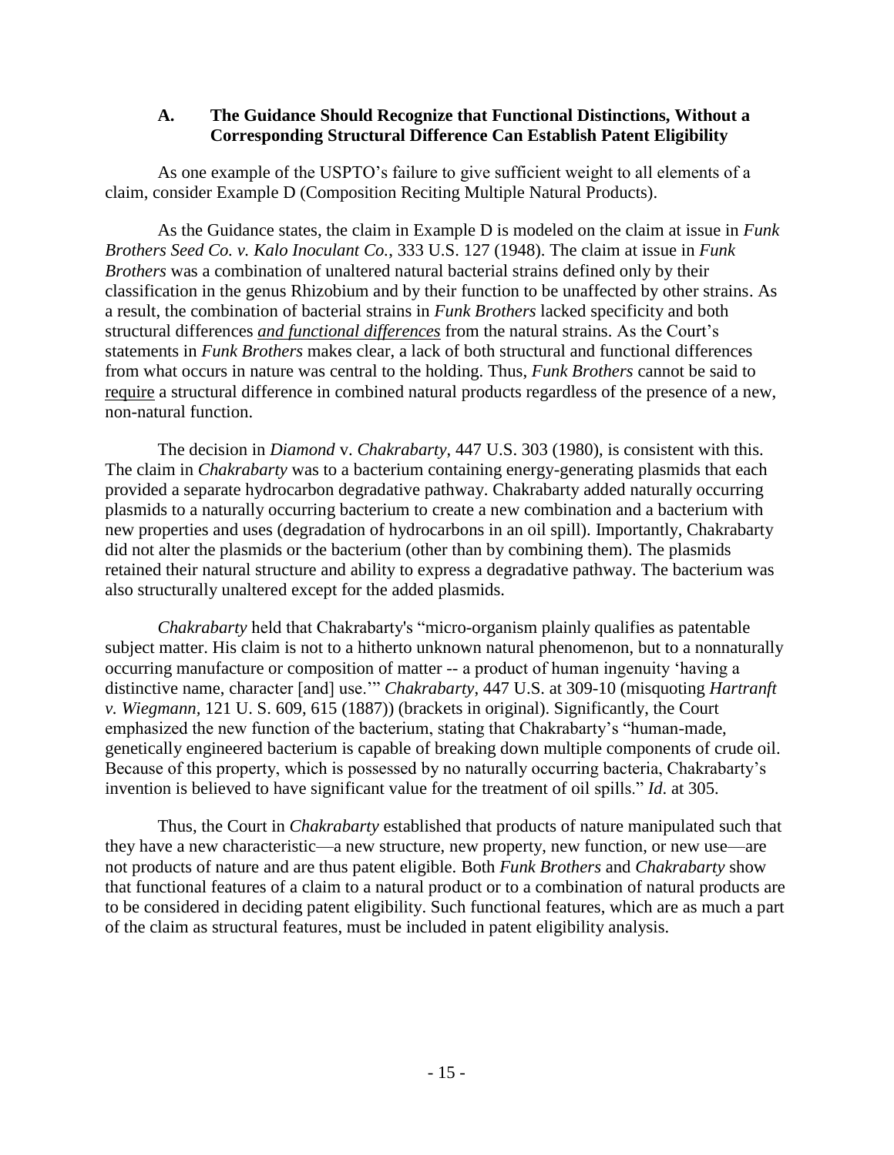#### **A. The Guidance Should Recognize that Functional Distinctions, Without a Corresponding Structural Difference Can Establish Patent Eligibility**

As one example of the USPTO's failure to give sufficient weight to all elements of a claim, consider Example D (Composition Reciting Multiple Natural Products).

As the Guidance states, the claim in Example D is modeled on the claim at issue in *Funk Brothers Seed Co. v. Kalo Inoculant Co.*, 333 U.S. 127 (1948). The claim at issue in *Funk Brothers* was a combination of unaltered natural bacterial strains defined only by their classification in the genus Rhizobium and by their function to be unaffected by other strains. As a result, the combination of bacterial strains in *Funk Brothers* lacked specificity and both structural differences *and functional differences* from the natural strains. As the Court's statements in *Funk Brothers* makes clear, a lack of both structural and functional differences from what occurs in nature was central to the holding. Thus, *Funk Brothers* cannot be said to require a structural difference in combined natural products regardless of the presence of a new, non-natural function.

The decision in *Diamond* v. *Chakrabarty*, 447 U.S. 303 (1980), is consistent with this. The claim in *Chakrabarty* was to a bacterium containing energy-generating plasmids that each provided a separate hydrocarbon degradative pathway. Chakrabarty added naturally occurring plasmids to a naturally occurring bacterium to create a new combination and a bacterium with new properties and uses (degradation of hydrocarbons in an oil spill). Importantly, Chakrabarty did not alter the plasmids or the bacterium (other than by combining them). The plasmids retained their natural structure and ability to express a degradative pathway. The bacterium was also structurally unaltered except for the added plasmids.

*Chakrabarty* held that Chakrabarty's "micro-organism plainly qualifies as patentable subject matter. His claim is not to a hitherto unknown natural phenomenon, but to a nonnaturally occurring manufacture or composition of matter -- a product of human ingenuity 'having a distinctive name, character [and] use.'" *Chakrabarty*, 447 U.S. at 309-10 (misquoting *Hartranft v. Wiegmann,* 121 U. S. 609, 615 (1887)) (brackets in original). Significantly, the Court emphasized the new function of the bacterium, stating that Chakrabarty's "human-made, genetically engineered bacterium is capable of breaking down multiple components of crude oil. Because of this property, which is possessed by no naturally occurring bacteria, Chakrabarty's invention is believed to have significant value for the treatment of oil spills." *Id*. at 305.

Thus, the Court in *Chakrabarty* established that products of nature manipulated such that they have a new characteristic—a new structure, new property, new function, or new use—are not products of nature and are thus patent eligible. Both *Funk Brothers* and *Chakrabarty* show that functional features of a claim to a natural product or to a combination of natural products are to be considered in deciding patent eligibility. Such functional features, which are as much a part of the claim as structural features, must be included in patent eligibility analysis.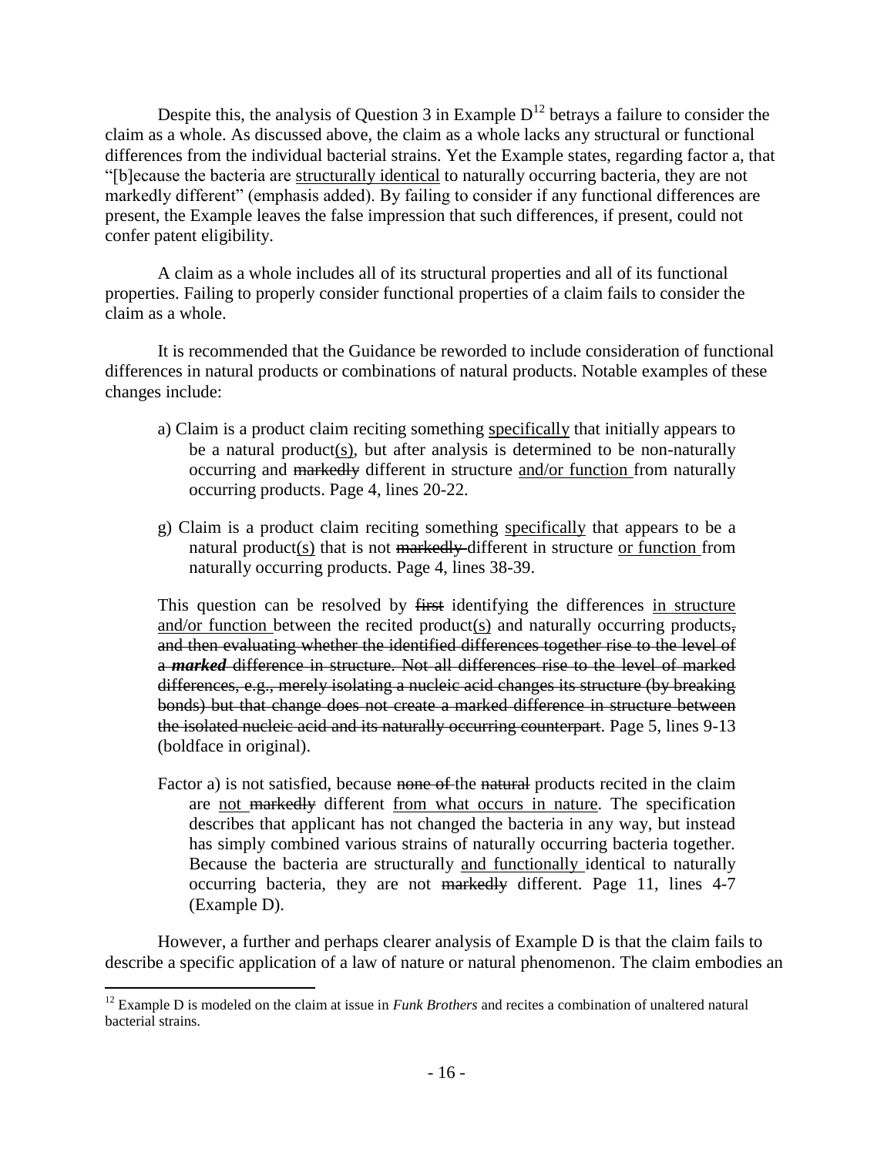Despite this, the analysis of Question 3 in Example  $D^{12}$  betrays a failure to consider the claim as a whole. As discussed above, the claim as a whole lacks any structural or functional differences from the individual bacterial strains. Yet the Example states, regarding factor a, that "[b]ecause the bacteria are structurally identical to naturally occurring bacteria, they are not markedly different" (emphasis added). By failing to consider if any functional differences are present, the Example leaves the false impression that such differences, if present, could not confer patent eligibility.

A claim as a whole includes all of its structural properties and all of its functional properties. Failing to properly consider functional properties of a claim fails to consider the claim as a whole.

It is recommended that the Guidance be reworded to include consideration of functional differences in natural products or combinations of natural products. Notable examples of these changes include:

- a) Claim is a product claim reciting something specifically that initially appears to be a natural product(s), but after analysis is determined to be non-naturally occurring and markedly different in structure and/or function from naturally occurring products. Page 4, lines 20-22.
- g) Claim is a product claim reciting something specifically that appears to be a natural product(s) that is not markedly-different in structure or function from naturally occurring products. Page 4, lines 38-39.

This question can be resolved by first identifying the differences in structure and/or function between the recited product(s) and naturally occurring products, and then evaluating whether the identified differences together rise to the level of a *marked* difference in structure. Not all differences rise to the level of marked differences, e.g., merely isolating a nucleic acid changes its structure (by breaking bonds) but that change does not create a marked difference in structure between the isolated nucleic acid and its naturally occurring counterpart. Page 5, lines 9-13 (boldface in original).

Factor a) is not satisfied, because none of the natural products recited in the claim are not markedly different from what occurs in nature. The specification describes that applicant has not changed the bacteria in any way, but instead has simply combined various strains of naturally occurring bacteria together. Because the bacteria are structurally and functionally identical to naturally occurring bacteria, they are not markedly different. Page 11, lines 4-7 (Example D).

However, a further and perhaps clearer analysis of Example D is that the claim fails to describe a specific application of a law of nature or natural phenomenon. The claim embodies an

<sup>&</sup>lt;sup>12</sup> Example D is modeled on the claim at issue in *Funk Brothers* and recites a combination of unaltered natural bacterial strains.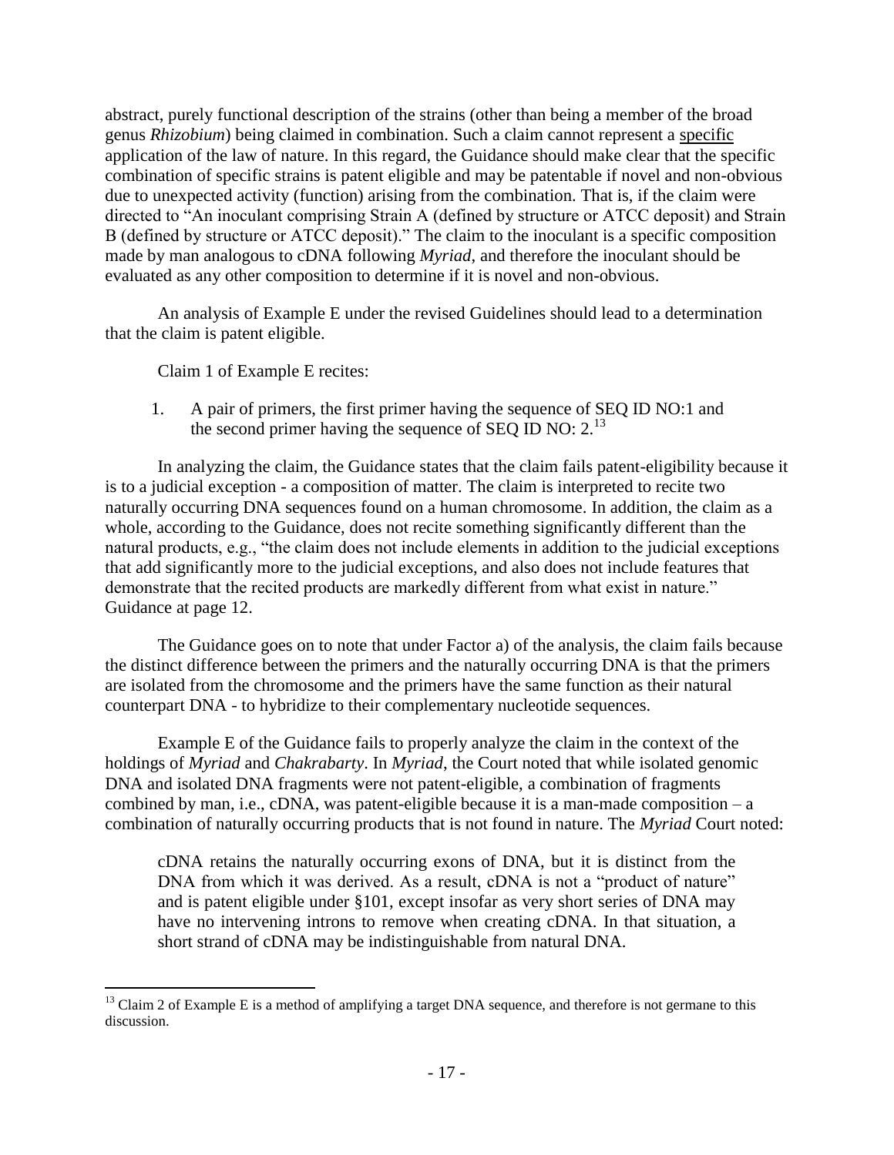abstract, purely functional description of the strains (other than being a member of the broad genus *Rhizobium*) being claimed in combination. Such a claim cannot represent a specific application of the law of nature. In this regard, the Guidance should make clear that the specific combination of specific strains is patent eligible and may be patentable if novel and non-obvious due to unexpected activity (function) arising from the combination. That is, if the claim were directed to "An inoculant comprising Strain A (defined by structure or ATCC deposit) and Strain B (defined by structure or ATCC deposit)." The claim to the inoculant is a specific composition made by man analogous to cDNA following *Myriad*, and therefore the inoculant should be evaluated as any other composition to determine if it is novel and non-obvious.

An analysis of Example E under the revised Guidelines should lead to a determination that the claim is patent eligible.

Claim 1 of Example E recites:

 $\overline{a}$ 

1. A pair of primers, the first primer having the sequence of SEQ ID NO:1 and the second primer having the sequence of SEQ ID NO:  $2^{13}$ 

In analyzing the claim, the Guidance states that the claim fails patent-eligibility because it is to a judicial exception - a composition of matter. The claim is interpreted to recite two naturally occurring DNA sequences found on a human chromosome. In addition, the claim as a whole, according to the Guidance, does not recite something significantly different than the natural products, e.g., "the claim does not include elements in addition to the judicial exceptions that add significantly more to the judicial exceptions, and also does not include features that demonstrate that the recited products are markedly different from what exist in nature." Guidance at page 12.

The Guidance goes on to note that under Factor a) of the analysis, the claim fails because the distinct difference between the primers and the naturally occurring DNA is that the primers are isolated from the chromosome and the primers have the same function as their natural counterpart DNA - to hybridize to their complementary nucleotide sequences.

Example E of the Guidance fails to properly analyze the claim in the context of the holdings of *Myriad* and *Chakrabarty*. In *Myriad*, the Court noted that while isolated genomic DNA and isolated DNA fragments were not patent-eligible, a combination of fragments combined by man, i.e., cDNA, was patent-eligible because it is a man-made composition  $- a$ combination of naturally occurring products that is not found in nature. The *Myriad* Court noted:

cDNA retains the naturally occurring exons of DNA, but it is distinct from the DNA from which it was derived. As a result, cDNA is not a "product of nature" and is patent eligible under §101, except insofar as very short series of DNA may have no intervening introns to remove when creating cDNA. In that situation, a short strand of cDNA may be indistinguishable from natural DNA.

<sup>&</sup>lt;sup>13</sup> Claim 2 of Example E is a method of amplifying a target DNA sequence, and therefore is not germane to this discussion.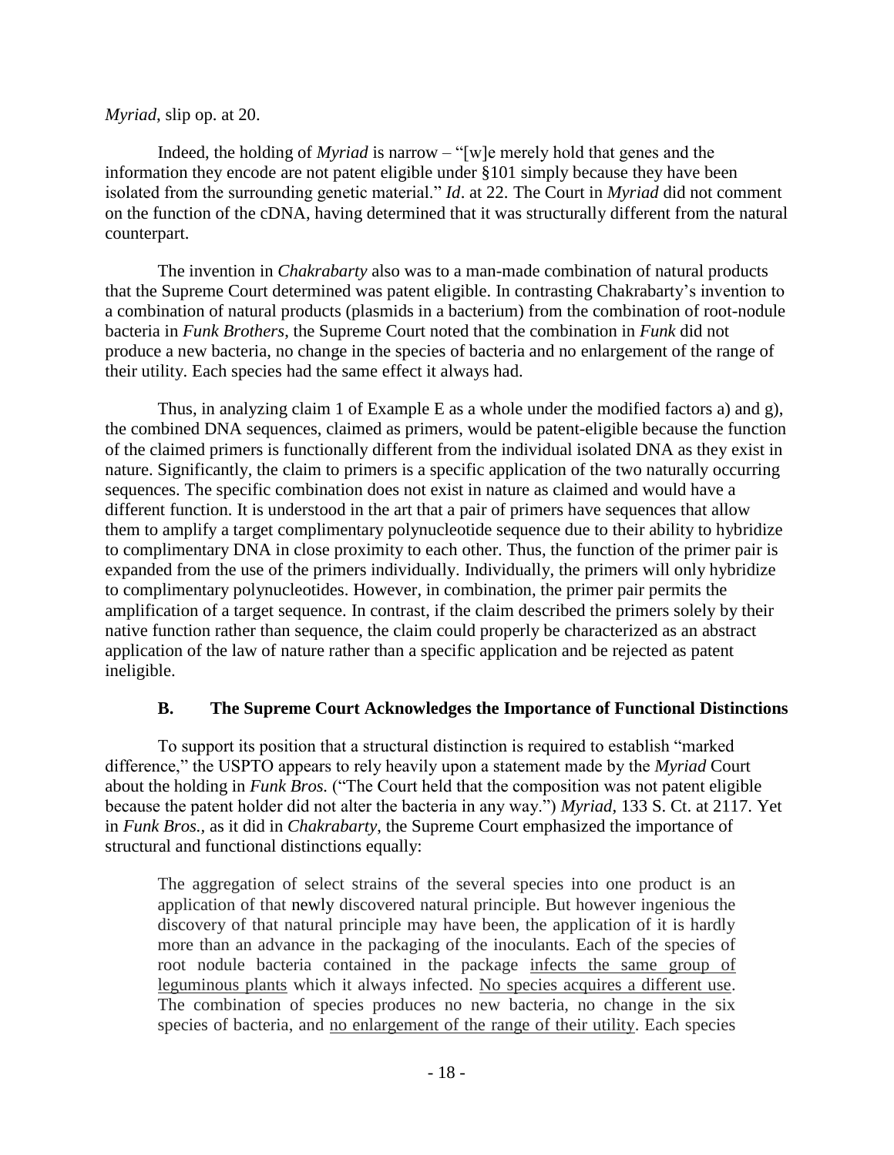#### *Myriad*, slip op. at 20.

Indeed, the holding of *Myriad* is narrow – "[w]e merely hold that genes and the information they encode are not patent eligible under §101 simply because they have been isolated from the surrounding genetic material." *Id*. at 22. The Court in *Myriad* did not comment on the function of the cDNA, having determined that it was structurally different from the natural counterpart.

The invention in *Chakrabarty* also was to a man-made combination of natural products that the Supreme Court determined was patent eligible. In contrasting Chakrabarty's invention to a combination of natural products (plasmids in a bacterium) from the combination of root-nodule bacteria in *Funk Brothers*, the Supreme Court noted that the combination in *Funk* did not produce a new bacteria, no change in the species of bacteria and no enlargement of the range of their utility. Each species had the same effect it always had.

Thus, in analyzing claim 1 of Example E as a whole under the modified factors a) and g), the combined DNA sequences, claimed as primers, would be patent-eligible because the function of the claimed primers is functionally different from the individual isolated DNA as they exist in nature. Significantly, the claim to primers is a specific application of the two naturally occurring sequences. The specific combination does not exist in nature as claimed and would have a different function. It is understood in the art that a pair of primers have sequences that allow them to amplify a target complimentary polynucleotide sequence due to their ability to hybridize to complimentary DNA in close proximity to each other. Thus, the function of the primer pair is expanded from the use of the primers individually. Individually, the primers will only hybridize to complimentary polynucleotides. However, in combination, the primer pair permits the amplification of a target sequence. In contrast, if the claim described the primers solely by their native function rather than sequence, the claim could properly be characterized as an abstract application of the law of nature rather than a specific application and be rejected as patent ineligible.

#### **B. The Supreme Court Acknowledges the Importance of Functional Distinctions**

To support its position that a structural distinction is required to establish "marked difference," the USPTO appears to rely heavily upon a statement made by the *Myriad* Court about the holding in *Funk Bros.* ("The Court held that the composition was not patent eligible because the patent holder did not alter the bacteria in any way.") *Myriad,* 133 S. Ct. at 2117. Yet in *Funk Bros.,* as it did in *Chakrabarty*, the Supreme Court emphasized the importance of structural and functional distinctions equally:

The aggregation of select strains of the several species into one product is an application of that newly discovered natural principle. But however ingenious the discovery of that natural principle may have been, the application of it is hardly more than an advance in the packaging of the inoculants. Each of the species of root nodule bacteria contained in the package infects the same group of leguminous plants which it always infected. No species acquires a different use. The combination of species produces no new bacteria, no change in the six species of bacteria, and no enlargement of the range of their utility. Each species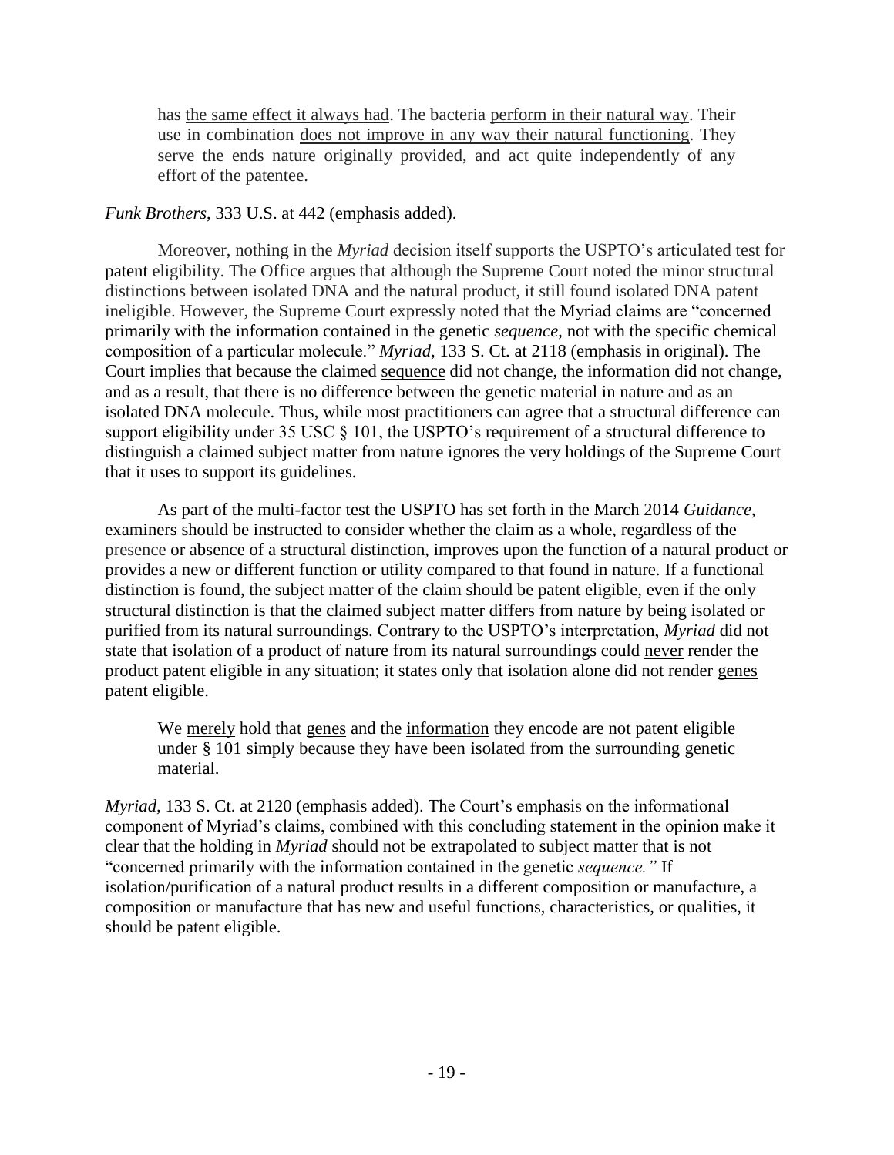has the same effect it always had. The bacteria perform in their natural way. Their use in combination does not improve in any way their natural functioning. They serve the ends nature originally provided, and act quite independently of any effort of the patentee.

#### *Funk Brothers*, 333 U.S. at 442 (emphasis added).

Moreover, nothing in the *Myriad* decision itself supports the USPTO's articulated test for patent eligibility. The Office argues that although the Supreme Court noted the minor structural distinctions between isolated DNA and the natural product, it still found isolated DNA patent ineligible. However, the Supreme Court expressly noted that the Myriad claims are "concerned primarily with the information contained in the genetic *sequence*, not with the specific chemical composition of a particular molecule." *Myriad,* 133 S. Ct. at 2118 (emphasis in original). The Court implies that because the claimed sequence did not change, the information did not change, and as a result, that there is no difference between the genetic material in nature and as an isolated DNA molecule. Thus, while most practitioners can agree that a structural difference can support eligibility under 35 USC § 101, the USPTO's requirement of a structural difference to distinguish a claimed subject matter from nature ignores the very holdings of the Supreme Court that it uses to support its guidelines.

As part of the multi-factor test the USPTO has set forth in the March 2014 *Guidance*, examiners should be instructed to consider whether the claim as a whole, regardless of the presence or absence of a structural distinction, improves upon the function of a natural product or provides a new or different function or utility compared to that found in nature. If a functional distinction is found, the subject matter of the claim should be patent eligible, even if the only structural distinction is that the claimed subject matter differs from nature by being isolated or purified from its natural surroundings. Contrary to the USPTO's interpretation, *Myriad* did not state that isolation of a product of nature from its natural surroundings could never render the product patent eligible in any situation; it states only that isolation alone did not render genes patent eligible.

We merely hold that genes and the information they encode are not patent eligible under § 101 simply because they have been isolated from the surrounding genetic material.

*Myriad,* 133 S. Ct. at 2120 (emphasis added). The Court's emphasis on the informational component of Myriad's claims, combined with this concluding statement in the opinion make it clear that the holding in *Myriad* should not be extrapolated to subject matter that is not "concerned primarily with the information contained in the genetic *sequence."* If isolation/purification of a natural product results in a different composition or manufacture, a composition or manufacture that has new and useful functions, characteristics, or qualities, it should be patent eligible.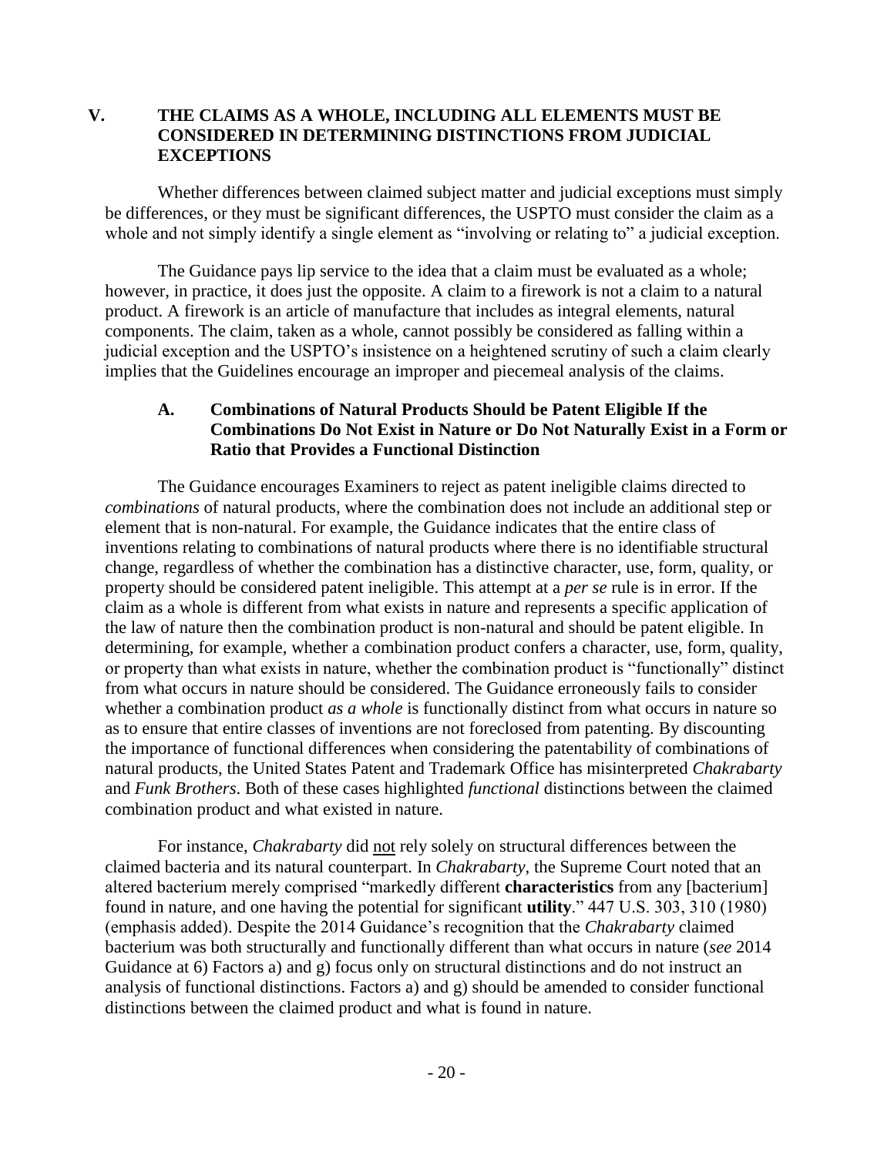# **V. THE CLAIMS AS A WHOLE, INCLUDING ALL ELEMENTS MUST BE CONSIDERED IN DETERMINING DISTINCTIONS FROM JUDICIAL EXCEPTIONS**

Whether differences between claimed subject matter and judicial exceptions must simply be differences, or they must be significant differences, the USPTO must consider the claim as a whole and not simply identify a single element as "involving or relating to" a judicial exception.

The Guidance pays lip service to the idea that a claim must be evaluated as a whole; however, in practice, it does just the opposite. A claim to a firework is not a claim to a natural product. A firework is an article of manufacture that includes as integral elements, natural components. The claim, taken as a whole, cannot possibly be considered as falling within a judicial exception and the USPTO's insistence on a heightened scrutiny of such a claim clearly implies that the Guidelines encourage an improper and piecemeal analysis of the claims.

#### **A. Combinations of Natural Products Should be Patent Eligible If the Combinations Do Not Exist in Nature or Do Not Naturally Exist in a Form or Ratio that Provides a Functional Distinction**

The Guidance encourages Examiners to reject as patent ineligible claims directed to *combinations* of natural products, where the combination does not include an additional step or element that is non-natural. For example, the Guidance indicates that the entire class of inventions relating to combinations of natural products where there is no identifiable structural change, regardless of whether the combination has a distinctive character, use, form, quality, or property should be considered patent ineligible. This attempt at a *per se* rule is in error. If the claim as a whole is different from what exists in nature and represents a specific application of the law of nature then the combination product is non-natural and should be patent eligible. In determining, for example, whether a combination product confers a character, use, form, quality, or property than what exists in nature, whether the combination product is "functionally" distinct from what occurs in nature should be considered. The Guidance erroneously fails to consider whether a combination product *as a whole* is functionally distinct from what occurs in nature so as to ensure that entire classes of inventions are not foreclosed from patenting. By discounting the importance of functional differences when considering the patentability of combinations of natural products, the United States Patent and Trademark Office has misinterpreted *Chakrabarty* and *Funk Brothers*. Both of these cases highlighted *functional* distinctions between the claimed combination product and what existed in nature.

For instance, *Chakrabarty* did not rely solely on structural differences between the claimed bacteria and its natural counterpart. In *Chakrabarty*, the Supreme Court noted that an altered bacterium merely comprised "markedly different **characteristics** from any [bacterium] found in nature, and one having the potential for significant **utility**." 447 U.S. 303, 310 (1980) (emphasis added). Despite the 2014 Guidance's recognition that the *Chakrabarty* claimed bacterium was both structurally and functionally different than what occurs in nature (*see* 2014 Guidance at 6) Factors a) and g) focus only on structural distinctions and do not instruct an analysis of functional distinctions. Factors a) and g) should be amended to consider functional distinctions between the claimed product and what is found in nature.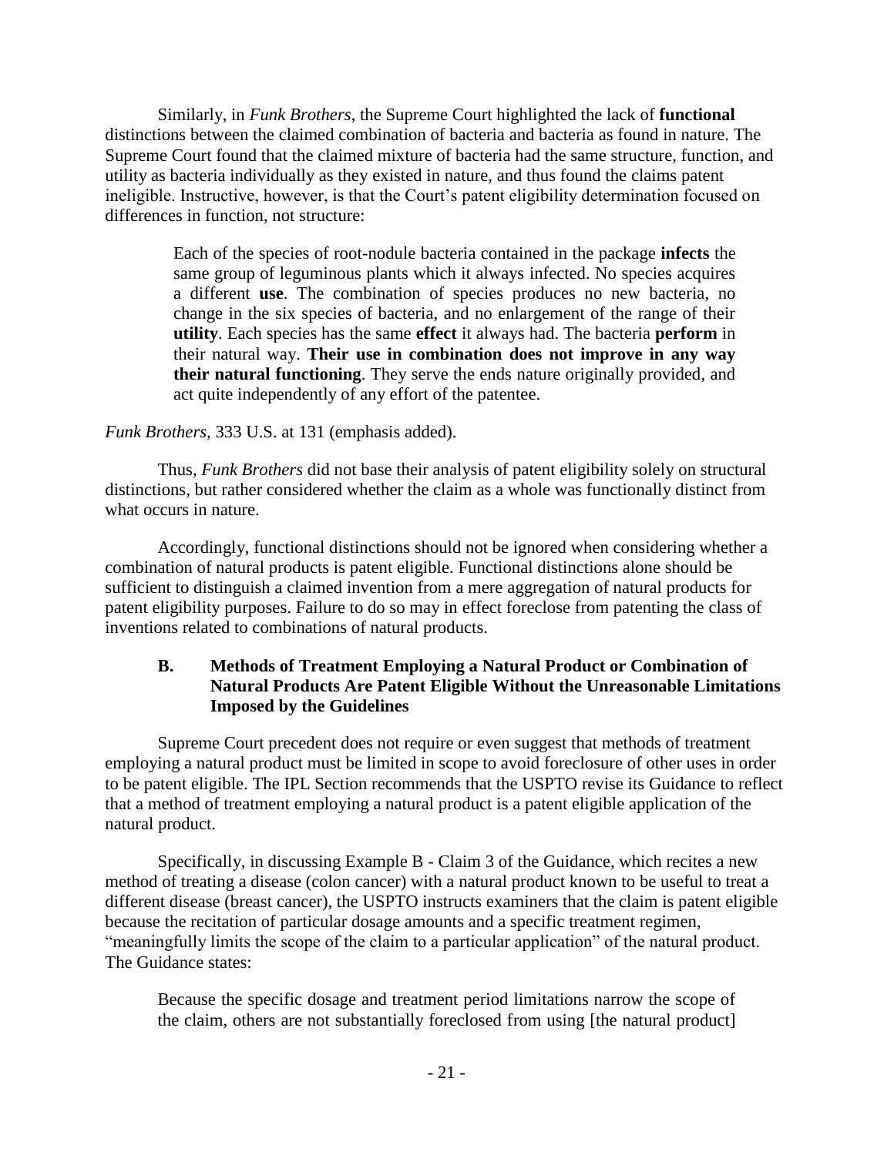Similarly, in *Funk Brothers*, the Supreme Court highlighted the lack of **functional** distinctions between the claimed combination of bacteria and bacteria as found in nature. The Supreme Court found that the claimed mixture of bacteria had the same structure, function, and utility as bacteria individually as they existed in nature, and thus found the claims patent ineligible. Instructive, however, is that the Court's patent eligibility determination focused on differences in function, not structure:

> Each of the species of root-nodule bacteria contained in the package **infects** the same group of leguminous plants which it always infected. No species acquires a different **use**. The combination of species produces no new bacteria, no change in the six species of bacteria, and no enlargement of the range of their **utility**. Each species has the same **effect** it always had. The bacteria **perform** in their natural way. **Their use in combination does not improve in any way their natural functioning**. They serve the ends nature originally provided, and act quite independently of any effort of the patentee.

# *Funk Brothers,* 333 U.S. at 131 (emphasis added).

Thus, *Funk Brothers* did not base their analysis of patent eligibility solely on structural distinctions, but rather considered whether the claim as a whole was functionally distinct from what occurs in nature.

Accordingly, functional distinctions should not be ignored when considering whether a combination of natural products is patent eligible. Functional distinctions alone should be sufficient to distinguish a claimed invention from a mere aggregation of natural products for patent eligibility purposes. Failure to do so may in effect foreclose from patenting the class of inventions related to combinations of natural products.

# **B. Methods of Treatment Employing a Natural Product or Combination of Natural Products Are Patent Eligible Without the Unreasonable Limitations Imposed by the Guidelines**

Supreme Court precedent does not require or even suggest that methods of treatment employing a natural product must be limited in scope to avoid foreclosure of other uses in order to be patent eligible. The IPL Section recommends that the USPTO revise its Guidance to reflect that a method of treatment employing a natural product is a patent eligible application of the natural product.

Specifically, in discussing Example B - Claim 3 of the Guidance, which recites a new method of treating a disease (colon cancer) with a natural product known to be useful to treat a different disease (breast cancer), the USPTO instructs examiners that the claim is patent eligible because the recitation of particular dosage amounts and a specific treatment regimen, "meaningfully limits the scope of the claim to a particular application" of the natural product. The Guidance states:

Because the specific dosage and treatment period limitations narrow the scope of the claim, others are not substantially foreclosed from using [the natural product]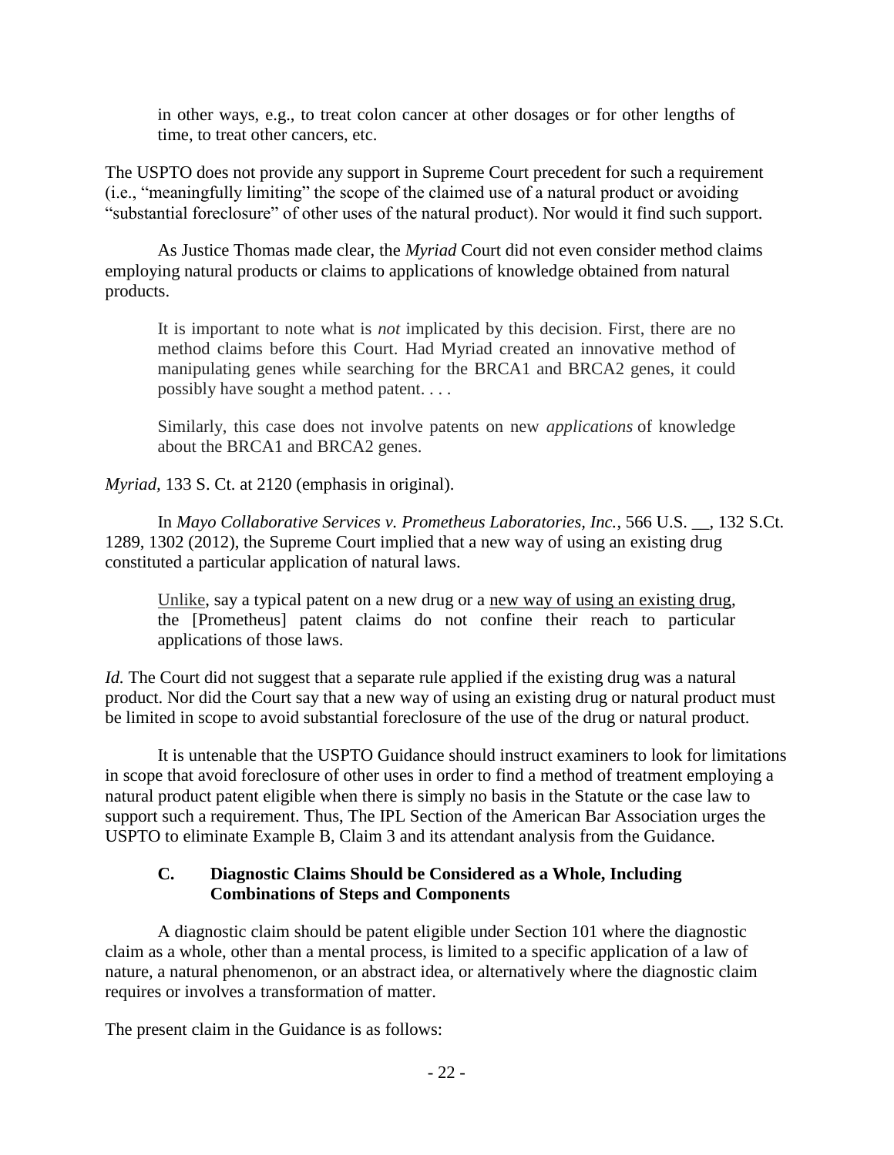in other ways, e.g., to treat colon cancer at other dosages or for other lengths of time, to treat other cancers, etc.

The USPTO does not provide any support in Supreme Court precedent for such a requirement (i.e., "meaningfully limiting" the scope of the claimed use of a natural product or avoiding "substantial foreclosure" of other uses of the natural product). Nor would it find such support.

As Justice Thomas made clear, the *Myriad* Court did not even consider method claims employing natural products or claims to applications of knowledge obtained from natural products.

It is important to note what is *not* implicated by this decision. First, there are no method claims before this Court. Had Myriad created an innovative method of manipulating genes while searching for the BRCA1 and BRCA2 genes, it could possibly have sought a method patent. . . .

Similarly, this case does not involve patents on new *applications* of knowledge about the BRCA1 and BRCA2 genes.

*Myriad,* 133 S. Ct. at 2120 (emphasis in original).

In *Mayo Collaborative Services v. Prometheus Laboratories, Inc.*, 566 U.S. \_\_, 132 S.Ct. 1289, 1302 (2012), the Supreme Court implied that a new way of using an existing drug constituted a particular application of natural laws.

Unlike, say a typical patent on a new drug or a new way of using an existing drug, the [Prometheus] patent claims do not confine their reach to particular applications of those laws.

*Id.* The Court did not suggest that a separate rule applied if the existing drug was a natural product. Nor did the Court say that a new way of using an existing drug or natural product must be limited in scope to avoid substantial foreclosure of the use of the drug or natural product.

It is untenable that the USPTO Guidance should instruct examiners to look for limitations in scope that avoid foreclosure of other uses in order to find a method of treatment employing a natural product patent eligible when there is simply no basis in the Statute or the case law to support such a requirement. Thus, The IPL Section of the American Bar Association urges the USPTO to eliminate Example B, Claim 3 and its attendant analysis from the Guidance.

# **C. Diagnostic Claims Should be Considered as a Whole, Including Combinations of Steps and Components**

A diagnostic claim should be patent eligible under Section 101 where the diagnostic claim as a whole, other than a mental process, is limited to a specific application of a law of nature, a natural phenomenon, or an abstract idea, or alternatively where the diagnostic claim requires or involves a transformation of matter.

The present claim in the Guidance is as follows: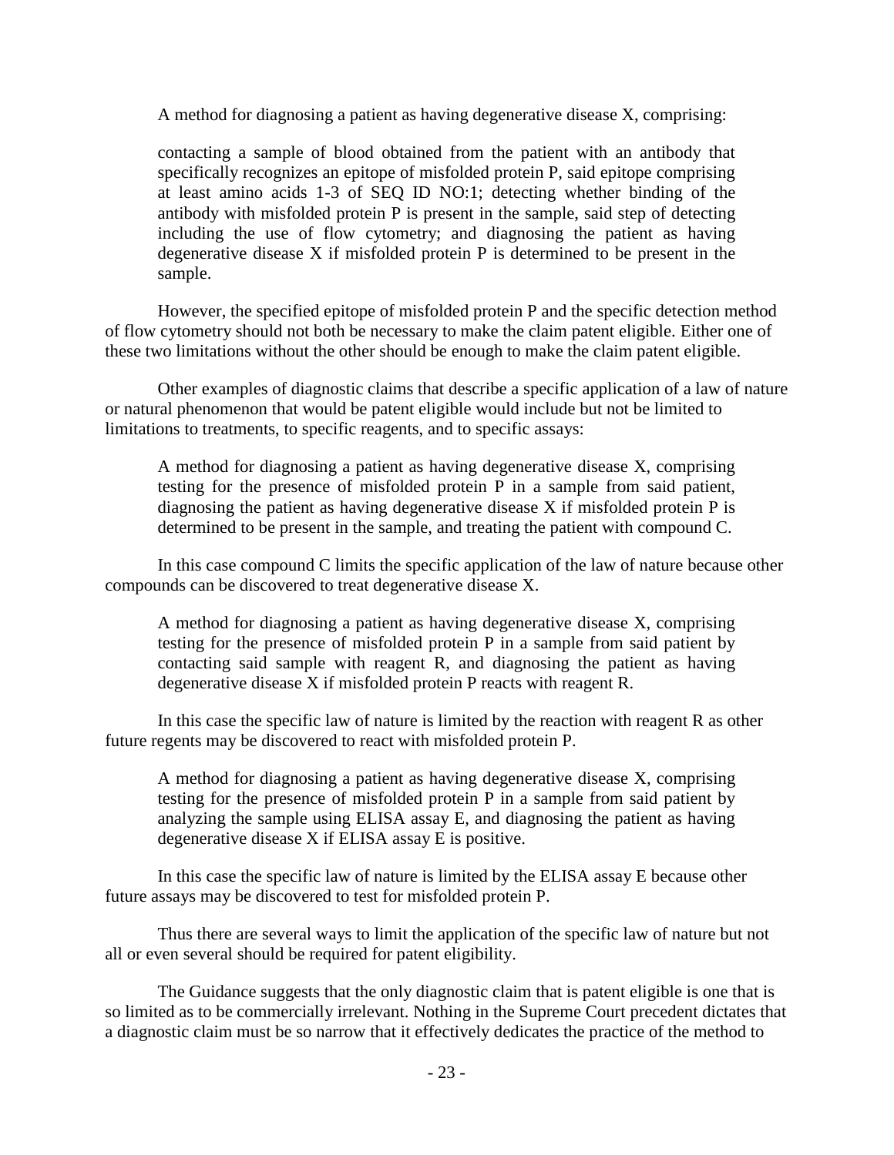A method for diagnosing a patient as having degenerative disease X, comprising:

contacting a sample of blood obtained from the patient with an antibody that specifically recognizes an epitope of misfolded protein P, said epitope comprising at least amino acids 1-3 of SEQ ID NO:1; detecting whether binding of the antibody with misfolded protein P is present in the sample, said step of detecting including the use of flow cytometry; and diagnosing the patient as having degenerative disease X if misfolded protein P is determined to be present in the sample.

However, the specified epitope of misfolded protein P and the specific detection method of flow cytometry should not both be necessary to make the claim patent eligible. Either one of these two limitations without the other should be enough to make the claim patent eligible.

Other examples of diagnostic claims that describe a specific application of a law of nature or natural phenomenon that would be patent eligible would include but not be limited to limitations to treatments, to specific reagents, and to specific assays:

A method for diagnosing a patient as having degenerative disease X, comprising testing for the presence of misfolded protein P in a sample from said patient, diagnosing the patient as having degenerative disease  $X$  if misfolded protein  $P$  is determined to be present in the sample, and treating the patient with compound C.

In this case compound C limits the specific application of the law of nature because other compounds can be discovered to treat degenerative disease X.

A method for diagnosing a patient as having degenerative disease X, comprising testing for the presence of misfolded protein P in a sample from said patient by contacting said sample with reagent R, and diagnosing the patient as having degenerative disease X if misfolded protein P reacts with reagent R.

In this case the specific law of nature is limited by the reaction with reagent R as other future regents may be discovered to react with misfolded protein P.

A method for diagnosing a patient as having degenerative disease X, comprising testing for the presence of misfolded protein P in a sample from said patient by analyzing the sample using ELISA assay E, and diagnosing the patient as having degenerative disease X if ELISA assay E is positive.

In this case the specific law of nature is limited by the ELISA assay E because other future assays may be discovered to test for misfolded protein P.

Thus there are several ways to limit the application of the specific law of nature but not all or even several should be required for patent eligibility.

The Guidance suggests that the only diagnostic claim that is patent eligible is one that is so limited as to be commercially irrelevant. Nothing in the Supreme Court precedent dictates that a diagnostic claim must be so narrow that it effectively dedicates the practice of the method to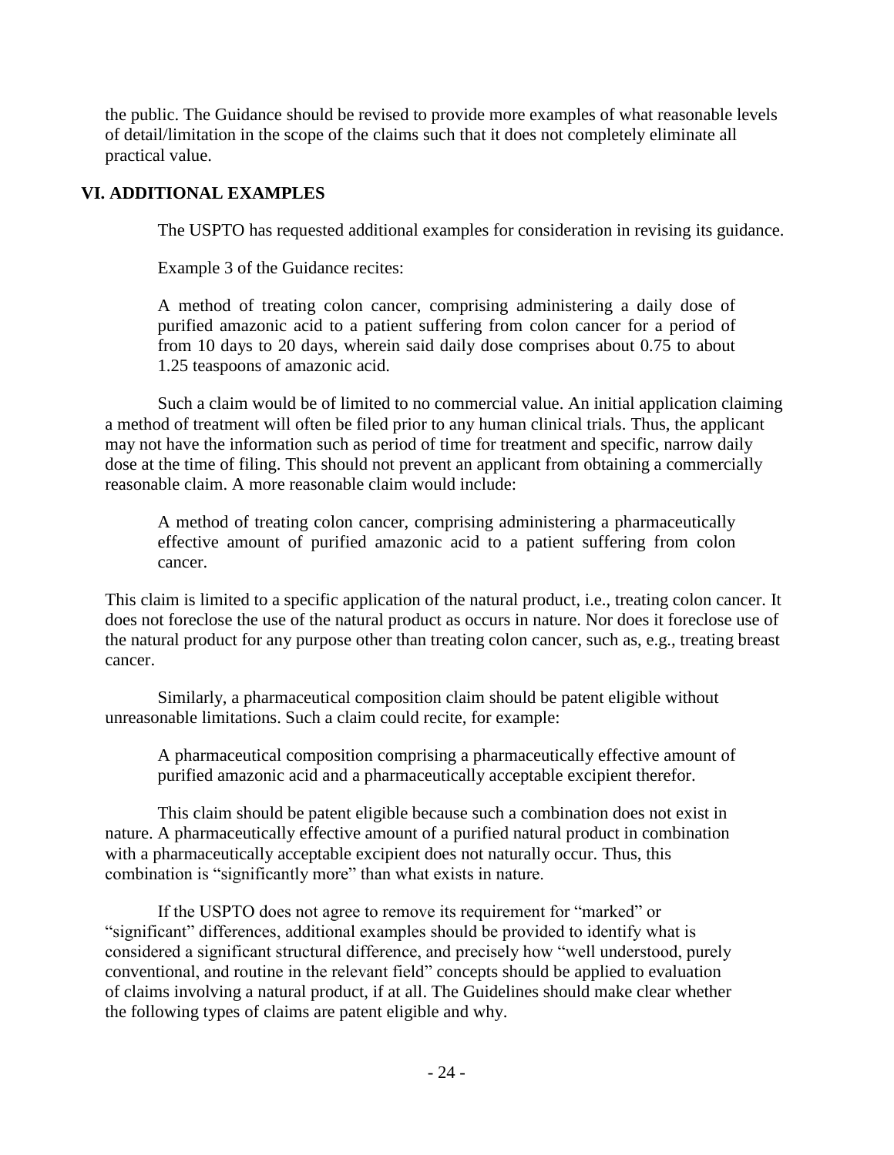the public. The Guidance should be revised to provide more examples of what reasonable levels of detail/limitation in the scope of the claims such that it does not completely eliminate all practical value.

# **VI. ADDITIONAL EXAMPLES**

The USPTO has requested additional examples for consideration in revising its guidance.

Example 3 of the Guidance recites:

A method of treating colon cancer, comprising administering a daily dose of purified amazonic acid to a patient suffering from colon cancer for a period of from 10 days to 20 days, wherein said daily dose comprises about 0.75 to about 1.25 teaspoons of amazonic acid.

Such a claim would be of limited to no commercial value. An initial application claiming a method of treatment will often be filed prior to any human clinical trials. Thus, the applicant may not have the information such as period of time for treatment and specific, narrow daily dose at the time of filing. This should not prevent an applicant from obtaining a commercially reasonable claim. A more reasonable claim would include:

A method of treating colon cancer, comprising administering a pharmaceutically effective amount of purified amazonic acid to a patient suffering from colon cancer.

This claim is limited to a specific application of the natural product, i.e., treating colon cancer. It does not foreclose the use of the natural product as occurs in nature. Nor does it foreclose use of the natural product for any purpose other than treating colon cancer, such as, e.g., treating breast cancer.

Similarly, a pharmaceutical composition claim should be patent eligible without unreasonable limitations. Such a claim could recite, for example:

A pharmaceutical composition comprising a pharmaceutically effective amount of purified amazonic acid and a pharmaceutically acceptable excipient therefor.

This claim should be patent eligible because such a combination does not exist in nature. A pharmaceutically effective amount of a purified natural product in combination with a pharmaceutically acceptable excipient does not naturally occur. Thus, this combination is "significantly more" than what exists in nature.

If the USPTO does not agree to remove its requirement for "marked" or "significant" differences, additional examples should be provided to identify what is considered a significant structural difference, and precisely how "well understood, purely conventional, and routine in the relevant field" concepts should be applied to evaluation of claims involving a natural product, if at all. The Guidelines should make clear whether the following types of claims are patent eligible and why.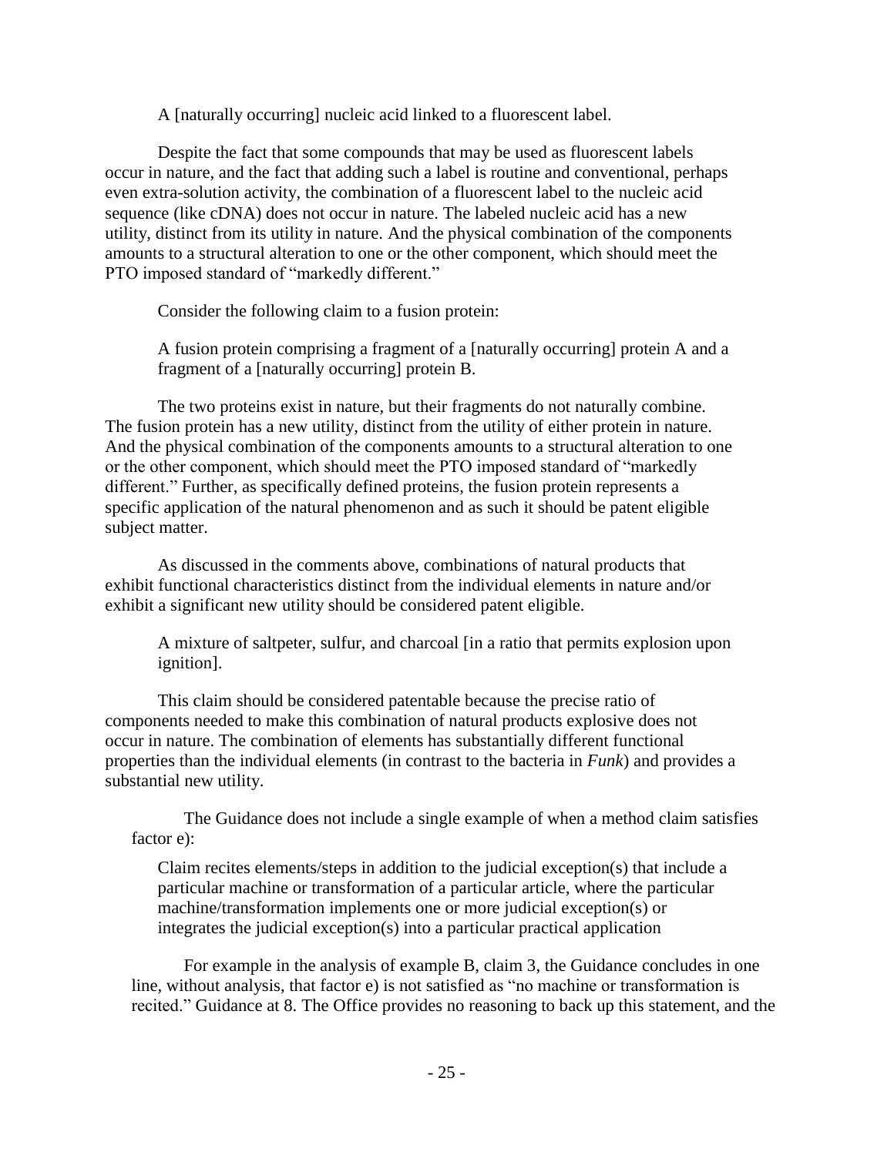A [naturally occurring] nucleic acid linked to a fluorescent label.

Despite the fact that some compounds that may be used as fluorescent labels occur in nature, and the fact that adding such a label is routine and conventional, perhaps even extra-solution activity, the combination of a fluorescent label to the nucleic acid sequence (like cDNA) does not occur in nature. The labeled nucleic acid has a new utility, distinct from its utility in nature. And the physical combination of the components amounts to a structural alteration to one or the other component, which should meet the PTO imposed standard of "markedly different."

Consider the following claim to a fusion protein:

A fusion protein comprising a fragment of a [naturally occurring] protein A and a fragment of a [naturally occurring] protein B.

The two proteins exist in nature, but their fragments do not naturally combine. The fusion protein has a new utility, distinct from the utility of either protein in nature. And the physical combination of the components amounts to a structural alteration to one or the other component, which should meet the PTO imposed standard of "markedly different." Further, as specifically defined proteins, the fusion protein represents a specific application of the natural phenomenon and as such it should be patent eligible subject matter.

As discussed in the comments above, combinations of natural products that exhibit functional characteristics distinct from the individual elements in nature and/or exhibit a significant new utility should be considered patent eligible.

A mixture of saltpeter, sulfur, and charcoal [in a ratio that permits explosion upon ignition].

This claim should be considered patentable because the precise ratio of components needed to make this combination of natural products explosive does not occur in nature. The combination of elements has substantially different functional properties than the individual elements (in contrast to the bacteria in *Funk*) and provides a substantial new utility.

The Guidance does not include a single example of when a method claim satisfies factor e):

Claim recites elements/steps in addition to the judicial exception(s) that include a particular machine or transformation of a particular article, where the particular machine/transformation implements one or more judicial exception(s) or integrates the judicial exception(s) into a particular practical application

For example in the analysis of example B, claim 3, the Guidance concludes in one line, without analysis, that factor e) is not satisfied as "no machine or transformation is recited." Guidance at 8. The Office provides no reasoning to back up this statement, and the